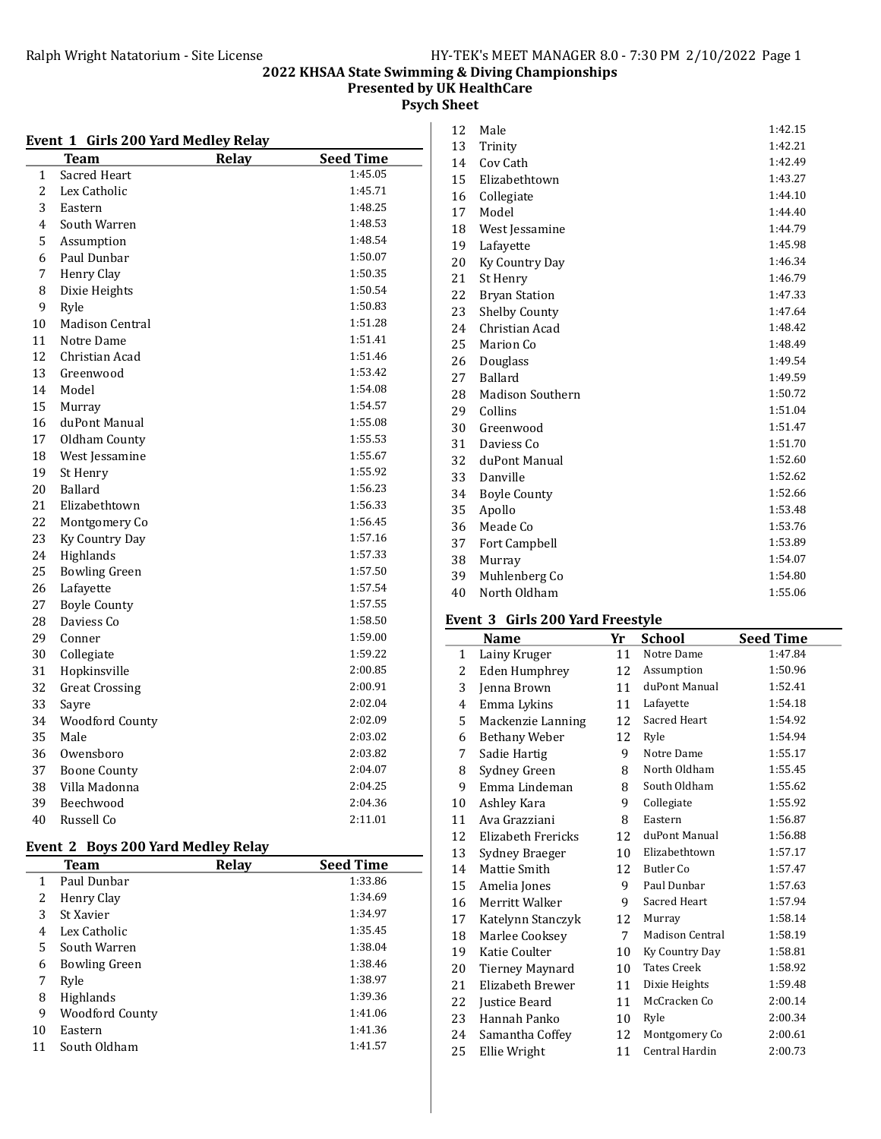Presented by UK HealthCare

Psych Sheet

#### Event 1 Girls 200 Yard Medley Relay

| REILL | <b>UILIS 400 TALU MEULEY INCIAY</b> |       |                  |
|-------|-------------------------------------|-------|------------------|
|       | Team                                | Relay | <b>Seed Time</b> |
| 1     | Sacred Heart                        |       | 1:45.05          |
| 2     | Lex Catholic                        |       | 1:45.71          |
| 3     | Eastern                             |       | 1:48.25          |
| 4     | South Warren                        |       | 1:48.53          |
| 5     | Assumption                          |       | 1:48.54          |
| 6     | Paul Dunbar                         |       | 1:50.07          |
| 7     | Henry Clay                          |       | 1:50.35          |
| 8     | Dixie Heights                       |       | 1:50.54          |
| 9     | Ryle                                |       | 1:50.83          |
| 10    | <b>Madison Central</b>              |       | 1:51.28          |
| 11    | Notre Dame                          |       | 1:51.41          |
| 12    | Christian Acad                      |       | 1:51.46          |
| 13    | Greenwood                           |       | 1:53.42          |
| 14    | Model                               |       | 1:54.08          |
| 15    | Murray                              |       | 1:54.57          |
| 16    | duPont Manual                       |       | 1:55.08          |
| 17    | Oldham County                       |       | 1:55.53          |
| 18    | West Jessamine                      |       | 1:55.67          |
| 19    | St Henry                            |       | 1:55.92          |
| 20    | Ballard                             |       | 1:56.23          |
| 21    | Elizabethtown                       |       | 1:56.33          |
| 22    | Montgomery Co                       |       | 1:56.45          |
| 23    | Ky Country Day                      |       | 1:57.16          |
| 24    | Highlands                           |       | 1:57.33          |
| 25    | <b>Bowling Green</b>                |       | 1:57.50          |
| 26    | Lafayette                           |       | 1:57.54          |
| 27    | <b>Boyle County</b>                 |       | 1:57.55          |
| 28    | Daviess Co                          |       | 1:58.50          |
| 29    | Conner                              |       | 1:59.00          |
| 30    | Collegiate                          |       | 1:59.22          |
| 31    | Hopkinsville                        |       | 2:00.85          |
| 32    | <b>Great Crossing</b>               |       | 2:00.91          |
| 33    | Savre                               |       | 2:02.04          |
| 34    | <b>Woodford County</b>              |       | 2:02.09          |
| 35    | Male                                |       | 2:03.02          |
| 36    | Owensboro                           |       | 2:03.82          |
| 37    | <b>Boone County</b>                 |       | 2:04.07          |
| 38    | Villa Madonna                       |       | 2:04.25          |
| 39    | Beechwood                           |       | 2:04.36          |
| 40    | Russell Co                          |       | 2:11.01          |
|       |                                     |       |                  |

### Event 2 Boys 200 Yard Medley Relay

|    | <b>Team</b>            | Relay | <b>Seed Time</b> |
|----|------------------------|-------|------------------|
| 1  | Paul Dunbar            |       | 1:33.86          |
| 2  | Henry Clay             |       | 1:34.69          |
| 3  | St Xavier              |       | 1:34.97          |
| 4  | Lex Catholic           |       | 1:35.45          |
| 5  | South Warren           |       | 1:38.04          |
| 6  | <b>Bowling Green</b>   |       | 1:38.46          |
| 7  | Ryle                   |       | 1:38.97          |
| 8  | <b>Highlands</b>       |       | 1:39.36          |
| 9  | <b>Woodford County</b> |       | 1:41.06          |
| 10 | Eastern                |       | 1:41.36          |
| 11 | South Oldham           |       | 1:41.57          |

| 12 | Male                    | 1:42.15 |
|----|-------------------------|---------|
| 13 | Trinity                 | 1:42.21 |
| 14 | Cov Cath                | 1:42.49 |
| 15 | Elizabethtown           | 1:43.27 |
| 16 | Collegiate              | 1:44.10 |
| 17 | Model                   | 1:44.40 |
| 18 | West Jessamine          | 1:44.79 |
| 19 | Lafayette               | 1:45.98 |
| 20 | Ky Country Day          | 1:46.34 |
| 21 | St Henry                | 1:46.79 |
| 22 | <b>Bryan Station</b>    | 1:47.33 |
| 23 | <b>Shelby County</b>    | 1:47.64 |
| 24 | Christian Acad          | 1:48.42 |
| 25 | Marion Co               | 1:48.49 |
| 26 | Douglass                | 1:49.54 |
| 27 | Ballard                 | 1:49.59 |
| 28 | <b>Madison Southern</b> | 1:50.72 |
| 29 | Collins                 | 1:51.04 |
| 30 | Greenwood               | 1:51.47 |
| 31 | Daviess Co.             | 1:51.70 |
| 32 | duPont Manual           | 1:52.60 |
| 33 | Danville                | 1:52.62 |
| 34 | <b>Boyle County</b>     | 1:52.66 |
| 35 | Apollo                  | 1:53.48 |
| 36 | Meade Co                | 1:53.76 |
| 37 | Fort Campbell           | 1:53.89 |
| 38 | Murray                  | 1:54.07 |
| 39 | Muhlenberg Co           | 1:54.80 |
| 40 | North Oldham            | 1:55.06 |
|    |                         |         |

### Event 3 Girls 200 Yard Freestyle

|              | Name                 | Yr          | <b>School</b>          | <b>Seed Time</b> |
|--------------|----------------------|-------------|------------------------|------------------|
| $\mathbf{1}$ | Lainy Kruger         | 11          | Notre Dame             | 1:47.84          |
| 2            | Eden Humphrey        | 12          | Assumption             | 1:50.96          |
| 3            | Jenna Brown          | 11          | duPont Manual          | 1:52.41          |
| 4            | Emma Lykins          | 11          | Lafayette              | 1:54.18          |
| 5            | Mackenzie Lanning    | 12          | Sacred Heart           | 1:54.92          |
| 6            | <b>Bethany Weber</b> | 12          | Ryle                   | 1:54.94          |
| 7            | Sadie Hartig         | 9           | Notre Dame             | 1:55.17          |
| 8            | Sydney Green         | 8           | North Oldham           | 1:55.45          |
| 9            | Emma Lindeman        | 8           | South Oldham           | 1:55.62          |
| 10           | Ashley Kara          | 9           | Collegiate             | 1:55.92          |
| 11           | Ava Grazziani        | 8           | Eastern                | 1:56.87          |
| 12           | Elizabeth Frericks   | 12          | duPont Manual          | 1:56.88          |
| 13           | Sydney Braeger       | 10          | Elizabethtown          | 1:57.17          |
| 14           | Mattie Smith         | 12          | Butler Co              | 1:57.47          |
| 15           | Amelia Jones         | 9           | Paul Dunbar            | 1:57.63          |
| 16           | Merritt Walker       | 9           | Sacred Heart           | 1:57.94          |
| 17           | Katelynn Stanczyk    | 12          | Murray                 | 1:58.14          |
| 18           | Marlee Cooksey       | $7^{\circ}$ | <b>Madison Central</b> | 1:58.19          |
| 19           | Katie Coulter        | 10          | Ky Country Day         | 1:58.81          |
| 20           | Tierney Maynard      | 10          | <b>Tates Creek</b>     | 1:58.92          |
| 21           | Elizabeth Brewer     | 11          | Dixie Heights          | 1:59.48          |
| 22           | Justice Beard        | 11          | McCracken Co           | 2:00.14          |
| 23           | Hannah Panko         | 10          | Ryle                   | 2:00.34          |
| 24           | Samantha Coffey      | 12          | Montgomery Co          | 2:00.61          |
| 25           | Ellie Wright         | 11          | Central Hardin         | 2:00.73          |
|              |                      |             |                        |                  |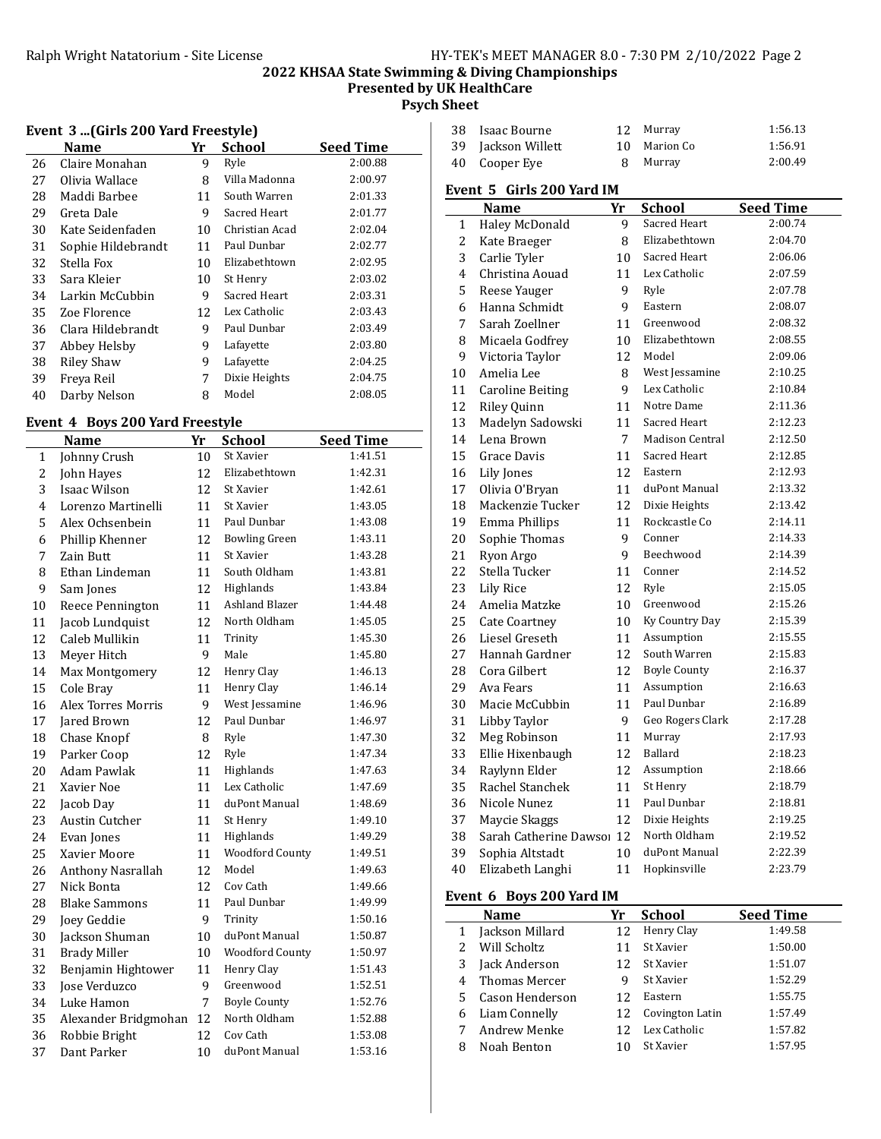### 2022 KHSAA State Swimming & Diving Championships Presented by UK HealthCare Psych Sheet

|  |  |  |  |  | Event 3 (Girls 200 Yard Freestyle) |
|--|--|--|--|--|------------------------------------|
|--|--|--|--|--|------------------------------------|

|    | Name               | Yr | <b>School</b>  | <b>Seed Time</b> |
|----|--------------------|----|----------------|------------------|
| 26 | Claire Monahan     | 9  | Ryle           | 2:00.88          |
| 27 | Olivia Wallace     | 8  | Villa Madonna  | 2:00.97          |
| 28 | Maddi Barbee       | 11 | South Warren   | 2:01.33          |
| 29 | Greta Dale         | 9  | Sacred Heart   | 2:01.77          |
| 30 | Kate Seidenfaden   | 10 | Christian Acad | 2:02.04          |
| 31 | Sophie Hildebrandt | 11 | Paul Dunbar    | 2:02.77          |
| 32 | Stella Fox         | 10 | Elizabethtown  | 2:02.95          |
| 33 | Sara Kleier        | 10 | St Henry       | 2:03.02          |
| 34 | Larkin McCubbin    | 9  | Sacred Heart   | 2:03.31          |
| 35 | Zoe Florence       | 12 | Lex Catholic   | 2:03.43          |
| 36 | Clara Hildebrandt  | 9  | Paul Dunbar    | 2:03.49          |
| 37 | Abbey Helsby       | 9  | Lafayette      | 2:03.80          |
| 38 | <b>Riley Shaw</b>  | 9  | Lafayette      | 2:04.25          |
| 39 | Freya Reil         | 7  | Dixie Heights  | 2:04.75          |
| 40 | Darby Nelson       | 8  | Model          | 2:08.05          |

### Event 4 Boys 200 Yard Freestyle

|                | <b>Name</b>          | Yr | <b>School</b>          | <b>Seed Time</b> |
|----------------|----------------------|----|------------------------|------------------|
| 1              | Johnny Crush         | 10 | St Xavier              | 1:41.51          |
| 2              | John Hayes           | 12 | Elizabethtown          | 1:42.31          |
| 3              | Isaac Wilson         | 12 | St Xavier              | 1:42.61          |
| $\overline{4}$ | Lorenzo Martinelli   | 11 | St Xavier              | 1:43.05          |
| 5              | Alex Ochsenbein      | 11 | Paul Dunbar            | 1:43.08          |
| 6              | Phillip Khenner      | 12 | <b>Bowling Green</b>   | 1:43.11          |
| 7              | Zain Butt            | 11 | St Xavier              | 1:43.28          |
| 8              | Ethan Lindeman       | 11 | South Oldham           | 1:43.81          |
| 9              | Sam Jones            | 12 | Highlands              | 1:43.84          |
| 10             | Reece Pennington     | 11 | Ashland Blazer         | 1:44.48          |
| 11             | Jacob Lundquist      | 12 | North Oldham           | 1:45.05          |
| 12             | Caleb Mullikin       | 11 | Trinity                | 1:45.30          |
| 13             | Meyer Hitch          | 9  | Male                   | 1:45.80          |
| 14             | Max Montgomery       | 12 | Henry Clay             | 1:46.13          |
| 15             | Cole Bray            | 11 | Henry Clay             | 1:46.14          |
| 16             | Alex Torres Morris   | 9  | West Jessamine         | 1:46.96          |
| 17             | <b>Jared Brown</b>   | 12 | Paul Dunbar            | 1:46.97          |
| 18             | Chase Knopf          | 8  | Ryle                   | 1:47.30          |
| 19             | Parker Coop          | 12 | Ryle                   | 1:47.34          |
| 20             | Adam Pawlak          | 11 | Highlands              | 1:47.63          |
| 21             | Xavier Noe           | 11 | Lex Catholic           | 1:47.69          |
| 22             | Jacob Day            | 11 | duPont Manual          | 1:48.69          |
| 23             | Austin Cutcher       | 11 | St Henry               | 1:49.10          |
| 24             | Evan Jones           | 11 | Highlands              | 1:49.29          |
| 25             | Xavier Moore         | 11 | <b>Woodford County</b> | 1:49.51          |
| 26             | Anthony Nasrallah    | 12 | Model                  | 1:49.63          |
| 27             | Nick Bonta           | 12 | Cov Cath               | 1:49.66          |
| 28             | <b>Blake Sammons</b> | 11 | Paul Dunbar            | 1:49.99          |
| 29             | Joey Geddie          | 9  | Trinity                | 1:50.16          |
| 30             | Jackson Shuman       | 10 | duPont Manual          | 1:50.87          |
| 31             | <b>Brady Miller</b>  | 10 | <b>Woodford County</b> | 1:50.97          |
| 32             | Benjamin Hightower   | 11 | Henry Clay             | 1:51.43          |
| 33             | Jose Verduzco        | 9  | Greenwood              | 1:52.51          |
| 34             | Luke Hamon           | 7  | <b>Boyle County</b>    | 1:52.76          |
| 35             | Alexander Bridgmohan | 12 | North Oldham           | 1:52.88          |
| 36             | Robbie Bright        | 12 | Cov Cath               | 1:53.08          |
| 37             | Dant Parker          | 10 | duPont Manual          | 1:53.16          |

| 38 Isaac Bourne    | 12 Murray    | 1:56.13 |
|--------------------|--------------|---------|
| 39 Jackson Willett | 10 Marion Co | 1:56.91 |
| 40 Cooper Eve      | 8 Murray     | 2:00.49 |

#### Event 5 Girls 200 Yard IM

|    | <b>Name</b>             | Yr | <b>School</b>       | <b>Seed Time</b> |
|----|-------------------------|----|---------------------|------------------|
| 1  | Haley McDonald          | 9  | Sacred Heart        | 2:00.74          |
| 2  | Kate Braeger            | 8  | Elizabethtown       | 2:04.70          |
| 3  | Carlie Tyler            | 10 | Sacred Heart        | 2:06.06          |
| 4  | Christina Aouad         | 11 | Lex Catholic        | 2:07.59          |
| 5  | Reese Yauger            | 9  | Ryle                | 2:07.78          |
| 6  | Hanna Schmidt           | 9  | Eastern             | 2:08.07          |
| 7  | Sarah Zoellner          | 11 | Greenwood           | 2:08.32          |
| 8  | Micaela Godfrey         | 10 | Elizabethtown       | 2:08.55          |
| 9  | Victoria Taylor         | 12 | Model               | 2:09.06          |
| 10 | Amelia Lee              | 8  | West Jessamine      | 2:10.25          |
| 11 | <b>Caroline Beiting</b> | 9  | Lex Catholic        | 2:10.84          |
| 12 | Riley Quinn             | 11 | Notre Dame          | 2:11.36          |
| 13 | Madelyn Sadowski        | 11 | Sacred Heart        | 2:12.23          |
| 14 | Lena Brown              | 7  | Madison Central     | 2:12.50          |
| 15 | Grace Davis             | 11 | Sacred Heart        | 2:12.85          |
| 16 | Lily Jones              | 12 | Eastern             | 2:12.93          |
| 17 | Olivia O'Bryan          | 11 | duPont Manual       | 2:13.32          |
| 18 | Mackenzie Tucker        | 12 | Dixie Heights       | 2:13.42          |
| 19 | Emma Phillips           | 11 | Rockcastle Co       | 2:14.11          |
| 20 | Sophie Thomas           | 9  | Conner              | 2:14.33          |
| 21 | Ryon Argo               | 9  | Beechwood           | 2:14.39          |
| 22 | Stella Tucker           | 11 | Conner              | 2:14.52          |
| 23 | <b>Lily Rice</b>        | 12 | Ryle                | 2:15.05          |
| 24 | Amelia Matzke           | 10 | Greenwood           | 2:15.26          |
| 25 | Cate Coartney           | 10 | Ky Country Day      | 2:15.39          |
| 26 | Liesel Greseth          | 11 | Assumption          | 2:15.55          |
| 27 | Hannah Gardner          | 12 | South Warren        | 2:15.83          |
| 28 | Cora Gilbert            | 12 | <b>Boyle County</b> | 2:16.37          |
| 29 | Ava Fears               | 11 | Assumption          | 2:16.63          |
| 30 | Macie McCubbin          | 11 | Paul Dunbar         | 2:16.89          |
| 31 | Libby Taylor            | 9  | Geo Rogers Clark    | 2:17.28          |
| 32 | Meg Robinson            | 11 | Murray              | 2:17.93          |
| 33 | Ellie Hixenbaugh        | 12 | Ballard             | 2:18.23          |
| 34 | Raylynn Elder           | 12 | Assumption          | 2:18.66          |
| 35 | Rachel Stanchek         | 11 | St Henry            | 2:18.79          |
| 36 | Nicole Nunez            | 11 | Paul Dunbar         | 2:18.81          |
| 37 | Maycie Skaggs           | 12 | Dixie Heights       | 2:19.25          |
| 38 | Sarah Catherine Dawso   | 12 | North Oldham        | 2:19.52          |
| 39 | Sophia Altstadt         | 10 | duPont Manual       | 2:22.39          |
| 40 | Elizabeth Langhi        | 11 | Hopkinsville        | 2:23.79          |

### Event 6 Boys 200 Yard IM

|   | <b>Name</b>     | Yr | School          | <b>Seed Time</b> |
|---|-----------------|----|-----------------|------------------|
|   | Jackson Millard | 12 | Henry Clay      | 1:49.58          |
|   | Will Scholtz    |    | St Xavier       | 1:50.00          |
|   | Jack Anderson   | 12 | St Xavier       | 1:51.07          |
| 4 | Thomas Mercer   | 9  | St Xavier       | 1:52.29          |
| 5 | Cason Henderson | 12 | Eastern         | 1:55.75          |
| 6 | Liam Connelly   | 12 | Covington Latin | 1:57.49          |
|   | Andrew Menke    |    | Lex Catholic    | 1:57.82          |
| 8 | Noah Benton     |    | St Xavier       | 1:57.95          |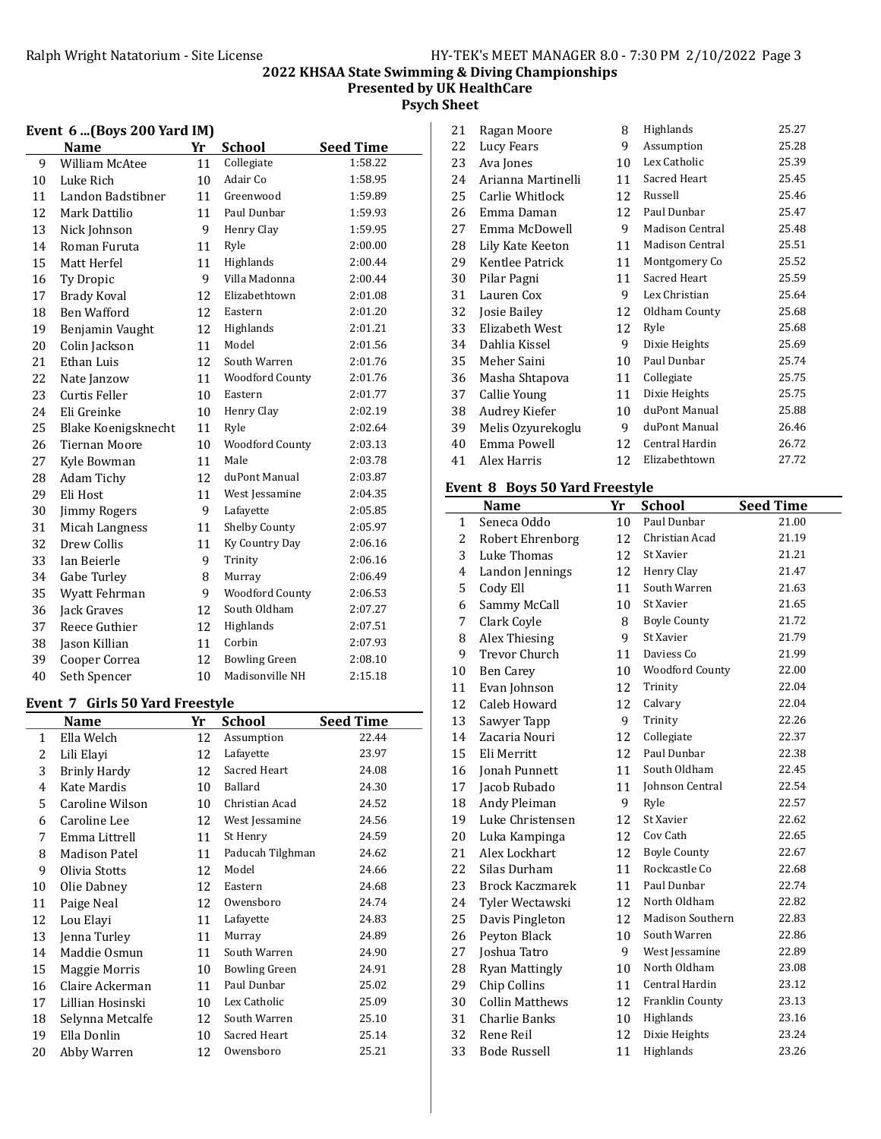### 2022 KHSAA State Swimming & Diving Championships Presented by UK HealthCare Psych Sheet

### Event 6 ...(Boys 200 Yard IM)

|    | <b>Name</b>          | Yr | <b>School</b>          | <b>Seed Time</b> |
|----|----------------------|----|------------------------|------------------|
| 9  | William McAtee       | 11 | Collegiate             | 1:58.22          |
| 10 | Luke Rich            | 10 | Adair Co               | 1:58.95          |
| 11 | Landon Badstibner    | 11 | Greenwood              | 1:59.89          |
| 12 | Mark Dattilio        | 11 | Paul Dunbar            | 1:59.93          |
| 13 | Nick Johnson         | 9  | Henry Clay             | 1:59.95          |
| 14 | Roman Furuta         | 11 | Ryle                   | 2:00.00          |
| 15 | Matt Herfel          | 11 | Highlands              | 2:00.44          |
| 16 | Ty Dropic            | 9  | Villa Madonna          | 2:00.44          |
| 17 | <b>Brady Koval</b>   | 12 | Elizabethtown          | 2:01.08          |
| 18 | Ben Wafford          | 12 | Eastern                | 2:01.20          |
| 19 | Benjamin Vaught      | 12 | Highlands              | 2:01.21          |
| 20 | Colin Jackson        | 11 | Model                  | 2:01.56          |
| 21 | Ethan Luis           | 12 | South Warren           | 2:01.76          |
| 22 | Nate Janzow          | 11 | <b>Woodford County</b> | 2:01.76          |
| 23 | Curtis Feller        | 10 | Eastern                | 2:01.77          |
| 24 | Eli Greinke          | 10 | Henry Clay             | 2:02.19          |
| 25 | Blake Koenigsknecht  | 11 | Ryle                   | 2:02.64          |
| 26 | <b>Tiernan Moore</b> | 10 | <b>Woodford County</b> | 2:03.13          |
| 27 | Kyle Bowman          | 11 | Male                   | 2:03.78          |
| 28 | Adam Tichy           | 12 | duPont Manual          | 2:03.87          |
| 29 | Eli Host             | 11 | West Jessamine         | 2:04.35          |
| 30 | <b>Jimmy Rogers</b>  | 9  | Lafayette              | 2:05.85          |
| 31 | Micah Langness       | 11 | Shelby County          | 2:05.97          |
| 32 | Drew Collis          | 11 | Ky Country Day         | 2:06.16          |
| 33 | Ian Beierle          | 9  | Trinity                | 2:06.16          |
| 34 | Gabe Turley          | 8  | Murray                 | 2:06.49          |
| 35 | Wyatt Fehrman        | 9  | <b>Woodford County</b> | 2:06.53          |
| 36 | Jack Graves          | 12 | South Oldham           | 2:07.27          |
| 37 | Reece Guthier        | 12 | Highlands              | 2:07.51          |
| 38 | Jason Killian        | 11 | Corbin                 | 2:07.93          |
| 39 | Cooper Correa        | 12 | <b>Bowling Green</b>   | 2:08.10          |
| 40 | Seth Spencer         | 10 | Madisonville NH        | 2:15.18          |

#### Event 7 Girls 50 Yard Freestyle

|              | Name                 | Yr | School               | <b>Seed Time</b> |
|--------------|----------------------|----|----------------------|------------------|
| $\mathbf{1}$ | Ella Welch           | 12 | Assumption           | 22.44            |
| 2            | Lili Elayi           | 12 | Lafayette            | 23.97            |
| 3            | <b>Brinly Hardy</b>  | 12 | Sacred Heart         | 24.08            |
| 4            | Kate Mardis          | 10 | Ballard              | 24.30            |
| 5            | Caroline Wilson      | 10 | Christian Acad       | 24.52            |
| 6            | Caroline Lee         | 12 | West Jessamine       | 24.56            |
| 7            | Emma Littrell        | 11 | St Henry             | 24.59            |
| 8            | <b>Madison Patel</b> | 11 | Paducah Tilghman     | 24.62            |
| 9            | Olivia Stotts        | 12 | Model                | 24.66            |
| 10           | Olie Dabney          | 12 | Eastern              | 24.68            |
| 11           | Paige Neal           | 12 | Owensboro            | 24.74            |
| 12           | Lou Elayi            | 11 | Lafayette            | 24.83            |
| 13           | Jenna Turley         | 11 | Murray               | 24.89            |
| 14           | Maddie Osmun         | 11 | South Warren         | 24.90            |
| 15           | Maggie Morris        | 10 | <b>Bowling Green</b> | 24.91            |
| 16           | Claire Ackerman      | 11 | Paul Dunbar          | 25.02            |
| 17           | Lillian Hosinski     | 10 | Lex Catholic         | 25.09            |
| 18           | Selynna Metcalfe     | 12 | South Warren         | 25.10            |
| 19           | Ella Donlin          | 10 | Sacred Heart         | 25.14            |
| 20           | Abby Warren          | 12 | Owensboro            | 25.21            |

| 21 | Ragan Moore        | 8  | Highlands       | 25.27 |
|----|--------------------|----|-----------------|-------|
| 22 | Lucy Fears         | 9  | Assumption      | 25.28 |
| 23 | Ava Jones          | 10 | Lex Catholic    | 25.39 |
| 24 | Arianna Martinelli | 11 | Sacred Heart    | 25.45 |
| 25 | Carlie Whitlock    | 12 | Russell         | 25.46 |
| 26 | Emma Daman         | 12 | Paul Dunbar     | 25.47 |
| 27 | Emma McDowell      | 9  | Madison Central | 25.48 |
| 28 | Lily Kate Keeton   | 11 | Madison Central | 25.51 |
| 29 | Kentlee Patrick    | 11 | Montgomery Co   | 25.52 |
| 30 | Pilar Pagni        | 11 | Sacred Heart    | 25.59 |
| 31 | Lauren Cox         | 9  | Lex Christian   | 25.64 |
| 32 | Josie Bailey       | 12 | Oldham County   | 25.68 |
| 33 | Elizabeth West     | 12 | Ryle            | 25.68 |
| 34 | Dahlia Kissel      | 9  | Dixie Heights   | 25.69 |
| 35 | Meher Saini        | 10 | Paul Dunbar     | 25.74 |
| 36 | Masha Shtapova     | 11 | Collegiate      | 25.75 |
| 37 | Callie Young       | 11 | Dixie Heights   | 25.75 |
| 38 | Audrey Kiefer      | 10 | duPont Manual   | 25.88 |
| 39 | Melis Ozyurekoglu  | 9  | duPont Manual   | 26.46 |
| 40 | Emma Powell        | 12 | Central Hardin  | 26.72 |
| 41 | Alex Harris        | 12 | Elizabethtown   | 27.72 |
|    |                    |    |                 |       |

## Event 8 Boys 50 Yard Freestyle

|                | <b>Name</b>            | Yr | <b>School</b>           | <b>Seed Time</b> |
|----------------|------------------------|----|-------------------------|------------------|
| $\mathbf{1}$   | Seneca Oddo            | 10 | Paul Dunbar             | 21.00            |
| $\overline{2}$ | Robert Ehrenborg       | 12 | Christian Acad          | 21.19            |
| 3              | Luke Thomas            | 12 | St Xavier               | 21.21            |
| 4              | Landon Jennings        | 12 | Henry Clay              | 21.47            |
| 5              | Cody Ell               | 11 | South Warren            | 21.63            |
| 6              | Sammy McCall           | 10 | St Xavier               | 21.65            |
| 7              | Clark Coyle            | 8  | <b>Boyle County</b>     | 21.72            |
| 8              | Alex Thiesing          | 9  | St Xavier               | 21.79            |
| 9              | <b>Trevor Church</b>   | 11 | Daviess Co              | 21.99            |
| 10             | <b>Ben Carey</b>       | 10 | <b>Woodford County</b>  | 22.00            |
| 11             | Evan Johnson           | 12 | Trinity                 | 22.04            |
| 12             | Caleb Howard           | 12 | Calvary                 | 22.04            |
| 13             | Sawyer Tapp            | 9  | Trinity                 | 22.26            |
| 14             | Zacaria Nouri          | 12 | Collegiate              | 22.37            |
| 15             | Eli Merritt            | 12 | Paul Dunbar             | 22.38            |
| 16             | <b>Jonah Punnett</b>   | 11 | South Oldham            | 22.45            |
| 17             | Jacob Rubado           | 11 | Johnson Central         | 22.54            |
| 18             | Andy Pleiman           | 9  | Ryle                    | 22.57            |
| 19             | Luke Christensen       | 12 | St Xavier               | 22.62            |
| 20             | Luka Kampinga          | 12 | Cov Cath                | 22.65            |
| 21             | Alex Lockhart          | 12 | <b>Boyle County</b>     | 22.67            |
| 22             | Silas Durham           | 11 | Rockcastle Co           | 22.68            |
| 23             | <b>Brock Kaczmarek</b> | 11 | Paul Dunbar             | 22.74            |
| 24             | Tyler Wectawski        | 12 | North Oldham            | 22.82            |
| 25             | Davis Pingleton        | 12 | <b>Madison Southern</b> | 22.83            |
| 26             | Peyton Black           | 10 | South Warren            | 22.86            |
| 27             | Joshua Tatro           | 9  | West Jessamine          | 22.89            |
| 28             | <b>Ryan Mattingly</b>  | 10 | North Oldham            | 23.08            |
| 29             | Chip Collins           | 11 | Central Hardin          | 23.12            |
| 30             | Collin Matthews        | 12 | Franklin County         | 23.13            |
| 31             | Charlie Banks          | 10 | Highlands               | 23.16            |
| 32             | Rene Reil              | 12 | Dixie Heights           | 23.24            |
| 33             | <b>Bode Russell</b>    | 11 | Highlands               | 23.26            |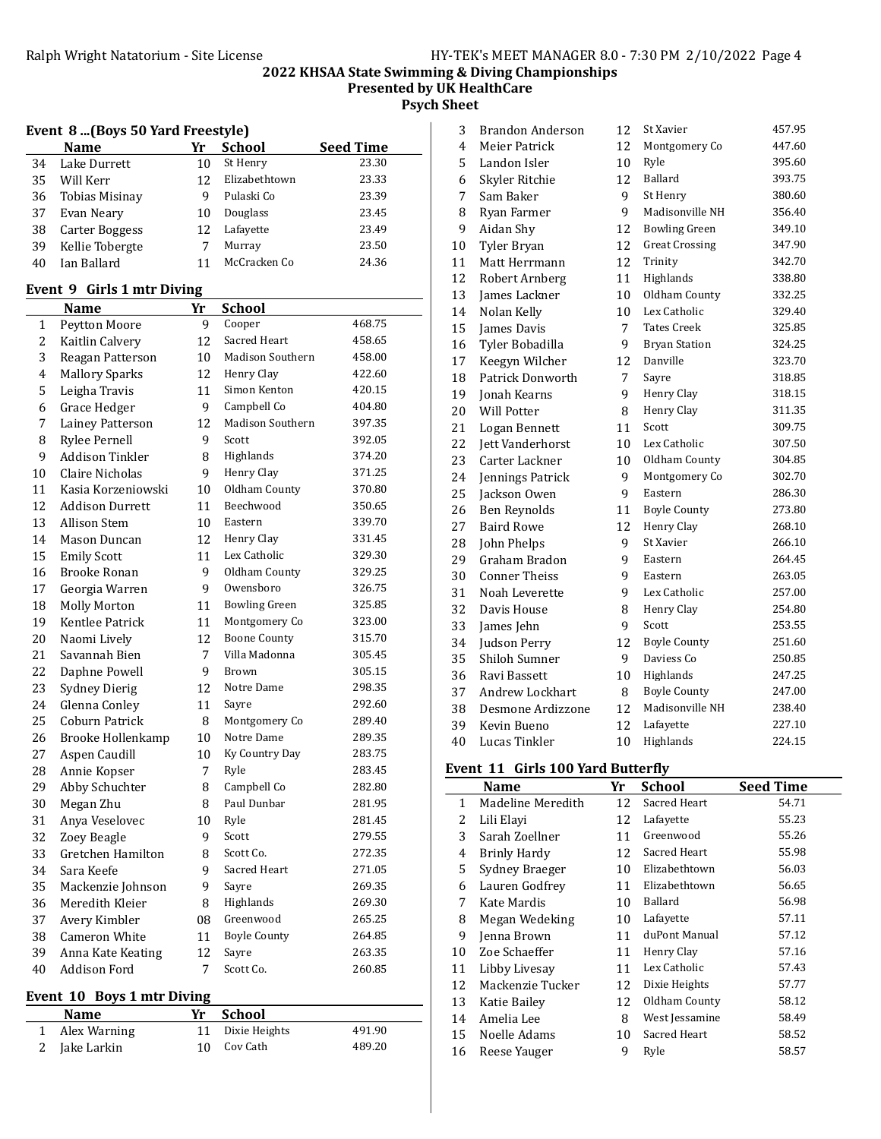Presented by UK HealthCare

Psych Sheet

|  |  |  |  |  | Event 8 (Boys 50 Yard Freestyle) |
|--|--|--|--|--|----------------------------------|
|--|--|--|--|--|----------------------------------|

|    | <b>Name</b>     | Yr | <b>School</b> | <b>Seed Time</b> |
|----|-----------------|----|---------------|------------------|
| 34 | Lake Durrett    | 10 | St Henry      | 23.30            |
| 35 | Will Kerr       | 12 | Elizabethtown | 23.33            |
| 36 | Tobias Misinay  | 9  | Pulaski Co    | 23.39            |
| 37 | Evan Neary      | 10 | Douglass      | 23.45            |
| 38 | Carter Boggess  | 12 | Lafayette     | 23.49            |
| 39 | Kellie Tobergte |    | Murray        | 23.50            |
| 40 | Ian Ballard     |    | McCracken Co  | 24.36            |

### Event 9 Girls 1 mtr Diving

|    | Name                   | Yr | <b>School</b>           |        |
|----|------------------------|----|-------------------------|--------|
| 1  | Peytton Moore          | 9  | Cooper                  | 468.75 |
| 2  | Kaitlin Calvery        | 12 | Sacred Heart            | 458.65 |
| 3  | Reagan Patterson       | 10 | <b>Madison Southern</b> | 458.00 |
| 4  | <b>Mallory Sparks</b>  | 12 | Henry Clay              | 422.60 |
| 5  | Leigha Travis          | 11 | Simon Kenton            | 420.15 |
| 6  | Grace Hedger           | 9  | Campbell Co             | 404.80 |
| 7  | Lainey Patterson       | 12 | Madison Southern        | 397.35 |
| 8  | <b>Rylee Pernell</b>   | 9  | Scott                   | 392.05 |
| 9  | <b>Addison Tinkler</b> | 8  | Highlands               | 374.20 |
| 10 | Claire Nicholas        | 9  | Henry Clay              | 371.25 |
| 11 | Kasia Korzeniowski     | 10 | Oldham County           | 370.80 |
| 12 | <b>Addison Durrett</b> | 11 | Beechwood               | 350.65 |
| 13 | <b>Allison Stem</b>    | 10 | Eastern                 | 339.70 |
| 14 | Mason Duncan           | 12 | Henry Clay              | 331.45 |
| 15 | <b>Emily Scott</b>     | 11 | Lex Catholic            | 329.30 |
| 16 | <b>Brooke Ronan</b>    | 9  | Oldham County           | 329.25 |
| 17 | Georgia Warren         | 9  | Owensboro               | 326.75 |
| 18 | <b>Molly Morton</b>    | 11 | <b>Bowling Green</b>    | 325.85 |
| 19 | Kentlee Patrick        | 11 | Montgomery Co           | 323.00 |
| 20 | Naomi Lively           | 12 | <b>Boone County</b>     | 315.70 |
| 21 | Savannah Bien          | 7  | Villa Madonna           | 305.45 |
| 22 | Daphne Powell          | 9  | Brown                   | 305.15 |
| 23 | <b>Sydney Dierig</b>   | 12 | Notre Dame              | 298.35 |
| 24 | Glenna Conley          | 11 | Sayre                   | 292.60 |
| 25 | Coburn Patrick         | 8  | Montgomery Co           | 289.40 |
| 26 | Brooke Hollenkamp      | 10 | Notre Dame              | 289.35 |
| 27 | Aspen Caudill          | 10 | Ky Country Day          | 283.75 |
| 28 | Annie Kopser           | 7  | Ryle                    | 283.45 |
| 29 | Abby Schuchter         | 8  | Campbell Co             | 282.80 |
| 30 | Megan Zhu              | 8  | Paul Dunbar             | 281.95 |
| 31 | Anya Veselovec         | 10 | Ryle                    | 281.45 |
| 32 | Zoey Beagle            | 9  | Scott                   | 279.55 |
| 33 | Gretchen Hamilton      | 8  | Scott Co.               | 272.35 |
| 34 | Sara Keefe             | 9  | Sacred Heart            | 271.05 |
| 35 | Mackenzie Johnson      | 9  | Sayre                   | 269.35 |
| 36 | Meredith Kleier        | 8  | Highlands               | 269.30 |
| 37 | Avery Kimbler          | 08 | Greenwood               | 265.25 |
| 38 | Cameron White          | 11 | <b>Boyle County</b>     | 264.85 |
| 39 | Anna Kate Keating      | 12 | Sayre                   | 263.35 |
| 40 | Addison Ford           | 7  | Scott Co.               | 260.85 |
|    |                        |    |                         |        |

## Event 10 Boys 1 mtr Diving

| <b>Name</b>    | Yr School        |        |
|----------------|------------------|--------|
| 1 Alex Warning | 11 Dixie Heights | 491.90 |
| 2 Jake Larkin  | 10 Cov Cath      | 489.20 |

| 3  | <b>Brandon Anderson</b> | 12 | St Xavier             | 457.95 |
|----|-------------------------|----|-----------------------|--------|
| 4  | Meier Patrick           | 12 | Montgomery Co         | 447.60 |
| 5  | Landon Isler            | 10 | Ryle                  | 395.60 |
| 6  | Skyler Ritchie          | 12 | Ballard               | 393.75 |
| 7  | Sam Baker               | 9  | St Henry              | 380.60 |
| 8  | Ryan Farmer             | 9  | Madisonville NH       | 356.40 |
| 9  | Aidan Shy               | 12 | <b>Bowling Green</b>  | 349.10 |
| 10 | Tyler Bryan             | 12 | <b>Great Crossing</b> | 347.90 |
| 11 | Matt Herrmann           | 12 | Trinity               | 342.70 |
| 12 | Robert Arnberg          | 11 | Highlands             | 338.80 |
| 13 | James Lackner           | 10 | Oldham County         | 332.25 |
| 14 | Nolan Kelly             | 10 | Lex Catholic          | 329.40 |
| 15 | James Davis             | 7  | <b>Tates Creek</b>    | 325.85 |
| 16 | Tyler Bobadilla         | 9  | <b>Bryan Station</b>  | 324.25 |
| 17 | Keegyn Wilcher          | 12 | Danville              | 323.70 |
| 18 | <b>Patrick Donworth</b> | 7  | Sayre                 | 318.85 |
| 19 | <b>Jonah Kearns</b>     | 9  | Henry Clay            | 318.15 |
| 20 | <b>Will Potter</b>      | 8  | Henry Clay            | 311.35 |
| 21 | Logan Bennett           | 11 | Scott                 | 309.75 |
| 22 | Jett Vanderhorst        | 10 | Lex Catholic          | 307.50 |
| 23 | Carter Lackner          | 10 | Oldham County         | 304.85 |
| 24 | Jennings Patrick        | 9  | Montgomery Co         | 302.70 |
| 25 | Jackson Owen            | 9  | Eastern               | 286.30 |
| 26 | <b>Ben Reynolds</b>     | 11 | <b>Boyle County</b>   | 273.80 |
| 27 | <b>Baird Rowe</b>       | 12 | Henry Clay            | 268.10 |
| 28 | John Phelps             | 9  | St Xavier             | 266.10 |
| 29 | Graham Bradon           | 9  | Eastern               | 264.45 |
| 30 | <b>Conner Theiss</b>    | 9  | Eastern               | 263.05 |
| 31 | Noah Leverette          | 9  | Lex Catholic          | 257.00 |
| 32 | Davis House             | 8  | Henry Clay            | 254.80 |
| 33 | James Jehn              | 9  | Scott                 | 253.55 |
| 34 | Judson Perry            | 12 | <b>Boyle County</b>   | 251.60 |
| 35 | Shiloh Sumner           | 9  | Daviess Co            | 250.85 |
| 36 | Ravi Bassett            | 10 | Highlands             | 247.25 |
| 37 | <b>Andrew Lockhart</b>  | 8  | <b>Boyle County</b>   | 247.00 |
| 38 | Desmone Ardizzone       | 12 | Madisonville NH       | 238.40 |
| 39 | Kevin Bueno             | 12 | Lafayette             | 227.10 |
| 40 | Lucas Tinkler           | 10 | Highlands             | 224.15 |

### Event 11 Girls 100 Yard Butterfly

|    | Name                | Yr | <b>School</b>  | <b>Seed Time</b> |
|----|---------------------|----|----------------|------------------|
| 1  | Madeline Meredith   | 12 | Sacred Heart   | 54.71            |
| 2  | Lili Elavi          | 12 | Lafayette      | 55.23            |
| 3  | Sarah Zoellner      | 11 | Greenwood      | 55.26            |
| 4  | <b>Brinly Hardy</b> | 12 | Sacred Heart   | 55.98            |
| 5  | Sydney Braeger      | 10 | Elizabethtown  | 56.03            |
| 6  | Lauren Godfrey      | 11 | Elizabethtown  | 56.65            |
| 7  | Kate Mardis         | 10 | Ballard        | 56.98            |
| 8  | Megan Wedeking      | 10 | Lafayette      | 57.11            |
| 9  | Jenna Brown         | 11 | duPont Manual  | 57.12            |
| 10 | Zoe Schaeffer       | 11 | Henry Clay     | 57.16            |
| 11 | Libby Livesay       | 11 | Lex Catholic   | 57.43            |
| 12 | Mackenzie Tucker    | 12 | Dixie Heights  | 57.77            |
| 13 | Katie Bailey        | 12 | Oldham County  | 58.12            |
| 14 | Amelia Lee          | 8  | West Jessamine | 58.49            |
| 15 | Noelle Adams        | 10 | Sacred Heart   | 58.52            |
| 16 | Reese Yauger        | 9  | Ryle           | 58.57            |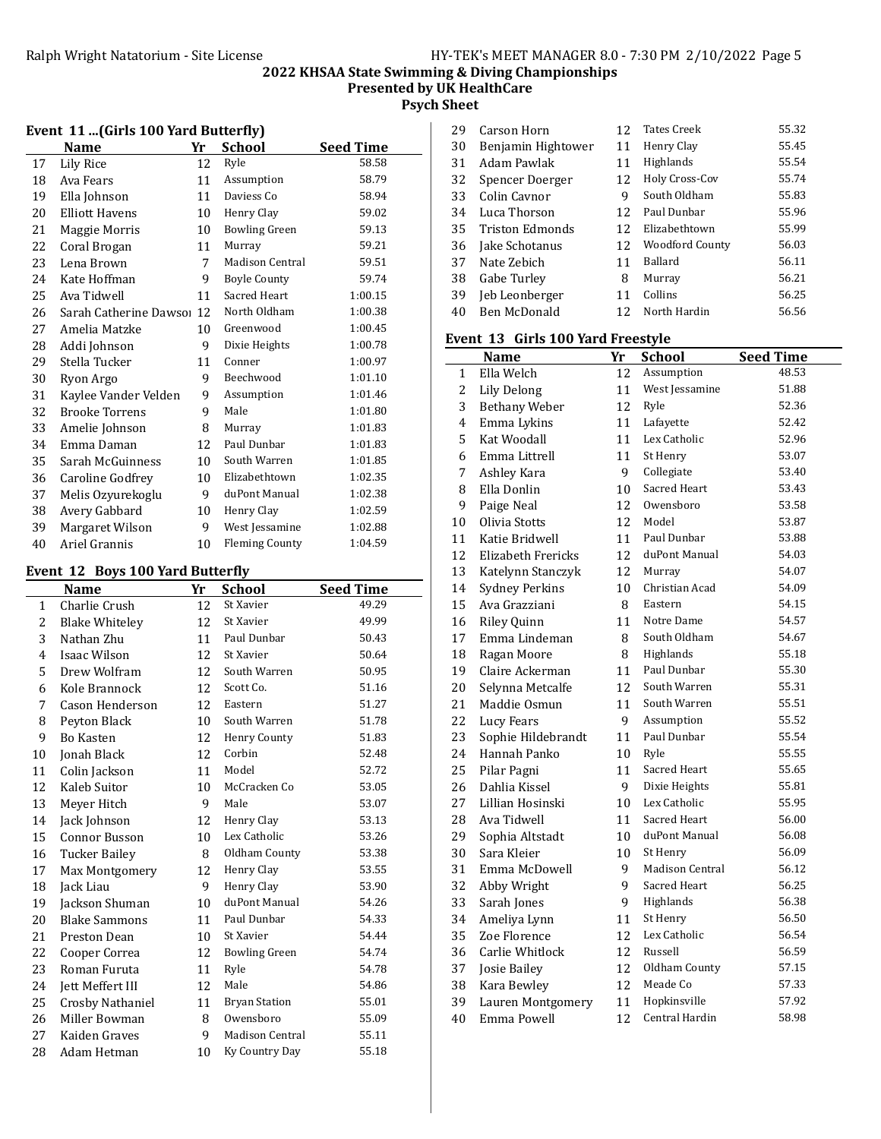## 2022 KHSAA State Swimming & Diving Championships Presented by UK HealthCare

Psych Sheet

| 2008 - 21 m an 19 100 Tura Butterny |                        |    |                        |                  |
|-------------------------------------|------------------------|----|------------------------|------------------|
|                                     | <b>Name</b>            | Yr | <b>School</b>          | <b>Seed Time</b> |
| 17                                  | Lily Rice              | 12 | Ryle                   | 58.58            |
| 18                                  | Ava Fears              | 11 | Assumption             | 58.79            |
| 19                                  | Ella Johnson           | 11 | Daviess Co             | 58.94            |
| 20                                  | Elliott Havens         | 10 | Henry Clay             | 59.02            |
| 21                                  | Maggie Morris          | 10 | <b>Bowling Green</b>   | 59.13            |
| 22                                  | Coral Brogan           | 11 | Murray                 | 59.21            |
| 23                                  | Lena Brown             | 7  | <b>Madison Central</b> | 59.51            |
| 24                                  | Kate Hoffman           | 9  | <b>Boyle County</b>    | 59.74            |
| 25                                  | Ava Tidwell            | 11 | Sacred Heart           | 1:00.15          |
| 26                                  | Sarah Catherine Dawso: | 12 | North Oldham           | 1:00.38          |
| 27                                  | Amelia Matzke          | 10 | Greenwood              | 1:00.45          |
| 28                                  | Addi Johnson           | 9  | Dixie Heights          | 1:00.78          |
| 29                                  | Stella Tucker          | 11 | Conner                 | 1:00.97          |
| 30                                  | Ryon Argo              | 9  | Beechwood              | 1:01.10          |
| 31                                  | Kaylee Vander Velden   | 9  | Assumption             | 1:01.46          |
| 32                                  | <b>Brooke Torrens</b>  | 9  | Male                   | 1:01.80          |
| 33                                  | Amelie Johnson         | 8  | Murray                 | 1:01.83          |
| 34                                  | Emma Daman             | 12 | Paul Dunbar            | 1:01.83          |
| 35                                  | Sarah McGuinness       | 10 | South Warren           | 1:01.85          |
| 36                                  | Caroline Godfrey       | 10 | Elizabethtown          | 1:02.35          |
| 37                                  | Melis Ozyurekoglu      | 9  | duPont Manual          | 1:02.38          |
| 38                                  | Avery Gabbard          | 10 | Henry Clay             | 1:02.59          |
| 39                                  | Margaret Wilson        | 9  | West Jessamine         | 1:02.88          |
| 40                                  | Ariel Grannis          | 10 | <b>Fleming County</b>  | 1:04.59          |

### Event 11 (Girls 100 Yard Butterfly)

### Event 12 Boys 100 Yard Butterfly

|              | Name                  | Yr | <b>School</b>          | <b>Seed Time</b> |
|--------------|-----------------------|----|------------------------|------------------|
| $\mathbf{1}$ | Charlie Crush         | 12 | St Xavier              | 49.29            |
| 2            | <b>Blake Whiteley</b> | 12 | St Xavier              | 49.99            |
| 3            | Nathan Zhu            | 11 | Paul Dunbar            | 50.43            |
| 4            | Isaac Wilson          | 12 | St Xavier              | 50.64            |
| 5            | Drew Wolfram          | 12 | South Warren           | 50.95            |
| 6            | Kole Brannock         | 12 | Scott Co.              | 51.16            |
| 7            | Cason Henderson       | 12 | Eastern                | 51.27            |
| 8            | Peyton Black          | 10 | South Warren           | 51.78            |
| 9            | <b>Bo Kasten</b>      | 12 | Henry County           | 51.83            |
| 10           | Jonah Black           | 12 | Corbin                 | 52.48            |
| 11           | Colin Jackson         | 11 | Model                  | 52.72            |
| 12           | Kaleb Suitor          | 10 | McCracken Co           | 53.05            |
| 13           | Meyer Hitch           | 9  | Male                   | 53.07            |
| 14           | Jack Johnson          | 12 | Henry Clay             | 53.13            |
| 15           | Connor Busson         | 10 | Lex Catholic           | 53.26            |
| 16           | <b>Tucker Bailey</b>  | 8  | Oldham County          | 53.38            |
| 17           | <b>Max Montgomery</b> | 12 | Henry Clay             | 53.55            |
| 18           | Jack Liau             | 9  | Henry Clay             | 53.90            |
| 19           | Jackson Shuman        | 10 | duPont Manual          | 54.26            |
| 20           | <b>Blake Sammons</b>  | 11 | Paul Dunbar            | 54.33            |
| 21           | Preston Dean          | 10 | St Xavier              | 54.44            |
| 22           | Cooper Correa         | 12 | <b>Bowling Green</b>   | 54.74            |
| 23           | Roman Furuta          | 11 | Ryle                   | 54.78            |
| 24           | Jett Meffert III      | 12 | Male                   | 54.86            |
| 25           | Crosby Nathaniel      | 11 | <b>Bryan Station</b>   | 55.01            |
| 26           | Miller Bowman         | 8  | Owensboro              | 55.09            |
| 27           | Kaiden Graves         | 9  | <b>Madison Central</b> | 55.11            |
| 28           | Adam Hetman           | 10 | Ky Country Day         | 55.18            |
|              |                       |    |                        |                  |

| 29 | Carson Horn        | 12 | <b>Tates Creek</b>     | 55.32 |
|----|--------------------|----|------------------------|-------|
| 30 | Benjamin Hightower | 11 | Henry Clay             | 55.45 |
| 31 | Adam Pawlak        | 11 | Highlands              | 55.54 |
| 32 | Spencer Doerger    | 12 | Holy Cross-Cov         | 55.74 |
| 33 | Colin Cavnor       | 9  | South Oldham           | 55.83 |
| 34 | Luca Thorson       | 12 | Paul Dunbar            | 55.96 |
| 35 | Triston Edmonds    | 12 | Elizabethtown          | 55.99 |
| 36 | Jake Schotanus     | 12 | <b>Woodford County</b> | 56.03 |
| 37 | Nate Zebich        | 11 | <b>Ballard</b>         | 56.11 |
| 38 | Gabe Turley        | 8  | Murray                 | 56.21 |
| 39 | Jeb Leonberger     | 11 | Collins                | 56.25 |
| 40 | Ben McDonald       | 12 | North Hardin           | 56.56 |
|    |                    |    |                        |       |

#### Event 13 Girls 100 Yard Freestyle

|                | <b>Name</b>               | Yr | <b>School</b>          | <b>Seed Time</b> |
|----------------|---------------------------|----|------------------------|------------------|
| 1              | Ella Welch                | 12 | Assumption             | 48.53            |
| $\overline{c}$ | <b>Lily Delong</b>        | 11 | West Jessamine         | 51.88            |
| 3              | <b>Bethany Weber</b>      | 12 | Ryle                   | 52.36            |
| 4              | Emma Lykins               | 11 | Lafayette              | 52.42            |
| 5              | Kat Woodall               | 11 | Lex Catholic           | 52.96            |
| 6              | Emma Littrell             | 11 | St Henry               | 53.07            |
| 7              | Ashley Kara               | 9  | Collegiate             | 53.40            |
| 8              | Ella Donlin               | 10 | Sacred Heart           | 53.43            |
| 9              | Paige Neal                | 12 | Owensboro              | 53.58            |
| 10             | Olivia Stotts             | 12 | Model                  | 53.87            |
| 11             | Katie Bridwell            | 11 | Paul Dunbar            | 53.88            |
| 12             | <b>Elizabeth Frericks</b> | 12 | duPont Manual          | 54.03            |
| 13             | Katelynn Stanczyk         | 12 | Murray                 | 54.07            |
| 14             | <b>Sydney Perkins</b>     | 10 | Christian Acad         | 54.09            |
| 15             | Ava Grazziani             | 8  | Eastern                | 54.15            |
| 16             | <b>Riley Quinn</b>        | 11 | Notre Dame             | 54.57            |
| 17             | Emma Lindeman             | 8  | South Oldham           | 54.67            |
| 18             | Ragan Moore               | 8  | Highlands              | 55.18            |
| 19             | Claire Ackerman           | 11 | Paul Dunbar            | 55.30            |
| 20             | Selynna Metcalfe          | 12 | South Warren           | 55.31            |
| 21             | Maddie Osmun              | 11 | South Warren           | 55.51            |
| 22             | Lucy Fears                | 9  | Assumption             | 55.52            |
| 23             | Sophie Hildebrandt        | 11 | Paul Dunbar            | 55.54            |
| 24             | Hannah Panko              | 10 | Ryle                   | 55.55            |
| 25             | Pilar Pagni               | 11 | Sacred Heart           | 55.65            |
| 26             | Dahlia Kissel             | 9  | Dixie Heights          | 55.81            |
| 27             | Lillian Hosinski          | 10 | Lex Catholic           | 55.95            |
| 28             | Ava Tidwell               | 11 | Sacred Heart           | 56.00            |
| 29             | Sophia Altstadt           | 10 | duPont Manual          | 56.08            |
| 30             | Sara Kleier               | 10 | St Henry               | 56.09            |
| 31             | Emma McDowell             | 9  | <b>Madison Central</b> | 56.12            |
| 32             | Abby Wright               | 9  | Sacred Heart           | 56.25            |
| 33             | Sarah Jones               | 9  | Highlands              | 56.38            |
| 34             | Ameliya Lynn              | 11 | St Henry               | 56.50            |
| 35             | Zoe Florence              | 12 | Lex Catholic           | 56.54            |
| 36             | Carlie Whitlock           | 12 | Russell                | 56.59            |
| 37             | Josie Bailey              | 12 | Oldham County          | 57.15            |
| 38             | Kara Bewley               | 12 | Meade Co               | 57.33            |
| 39             | Lauren Montgomery         | 11 | Hopkinsville           | 57.92            |
| 40             | Emma Powell               | 12 | Central Hardin         | 58.98            |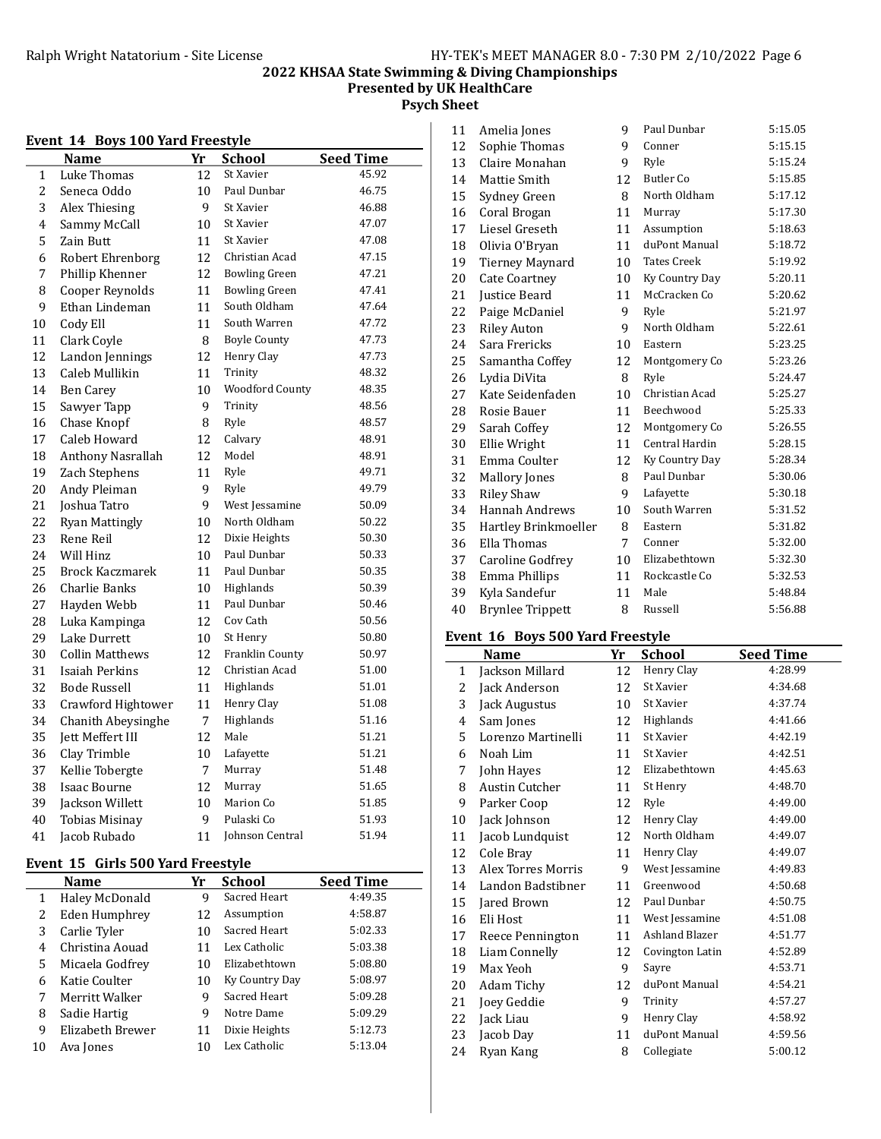Presented by UK HealthCare

Psych Sheet

#### Event 14 Boys 100 Yard Freestyle

|    | <b>Name</b>             | Yr | <b>School</b>          | <b>Seed Time</b> |
|----|-------------------------|----|------------------------|------------------|
| 1  | Luke Thomas             | 12 | St Xavier              | 45.92            |
| 2  | Seneca Oddo             | 10 | Paul Dunbar            | 46.75            |
| 3  | Alex Thiesing           | 9  | St Xavier              | 46.88            |
| 4  | Sammy McCall            | 10 | St Xavier              | 47.07            |
| 5  | Zain Butt               | 11 | St Xavier              | 47.08            |
| 6  | Robert Ehrenborg        | 12 | Christian Acad         | 47.15            |
| 7  | Phillip Khenner         | 12 | <b>Bowling Green</b>   | 47.21            |
| 8  | Cooper Reynolds         | 11 | <b>Bowling Green</b>   | 47.41            |
| 9  | Ethan Lindeman          | 11 | South Oldham           | 47.64            |
| 10 | Cody Ell                | 11 | South Warren           | 47.72            |
| 11 | Clark Coyle             | 8  | <b>Boyle County</b>    | 47.73            |
| 12 | Landon Jennings         | 12 | Henry Clay             | 47.73            |
| 13 | Caleb Mullikin          | 11 | Trinity                | 48.32            |
| 14 | <b>Ben Carey</b>        | 10 | <b>Woodford County</b> | 48.35            |
| 15 | Sawyer Tapp             | 9  | Trinity                | 48.56            |
| 16 | Chase Knopf             | 8  | Ryle                   | 48.57            |
| 17 | Caleb Howard            | 12 | Calvary                | 48.91            |
| 18 | Anthony Nasrallah       | 12 | Model                  | 48.91            |
| 19 | Zach Stephens           | 11 | Ryle                   | 49.71            |
| 20 | Andy Pleiman            | 9  | Ryle                   | 49.79            |
| 21 | Joshua Tatro            | 9  | West Jessamine         | 50.09            |
| 22 | <b>Ryan Mattingly</b>   | 10 | North Oldham           | 50.22            |
| 23 | Rene Reil               | 12 | Dixie Heights          | 50.30            |
| 24 | Will Hinz               | 10 | Paul Dunbar            | 50.33            |
| 25 | <b>Brock Kaczmarek</b>  | 11 | Paul Dunbar            | 50.35            |
| 26 | Charlie Banks           | 10 | Highlands              | 50.39            |
| 27 | Hayden Webb             | 11 | Paul Dunbar            | 50.46            |
| 28 | Luka Kampinga           | 12 | Cov Cath               | 50.56            |
| 29 | Lake Durrett            | 10 | St Henry               | 50.80            |
| 30 | Collin Matthews         | 12 | Franklin County        | 50.97            |
| 31 | Isaiah Perkins          | 12 | Christian Acad         | 51.00            |
| 32 | Bode Russell            | 11 | Highlands              | 51.01            |
| 33 | Crawford Hightower      | 11 | Henry Clay             | 51.08            |
| 34 | Chanith Abeysinghe      | 7  | Highlands              | 51.16            |
| 35 | <b>Jett Meffert III</b> | 12 | Male                   | 51.21            |
| 36 | Clay Trimble            | 10 | Lafayette              | 51.21            |
| 37 | Kellie Tobergte         | 7  | Murray                 | 51.48            |
| 38 | Isaac Bourne            | 12 | Murray                 | 51.65            |
| 39 | Jackson Willett         | 10 | Marion Co              | 51.85            |
| 40 | <b>Tobias Misinay</b>   | 9  | Pulaski Co             | 51.93            |
| 41 | Jacob Rubado            | 11 | Johnson Central        | 51.94            |

### Event 15 Girls 500 Yard Freestyle

|              | <b>Name</b>      | Yr | <b>School</b>  | <b>Seed Time</b> |
|--------------|------------------|----|----------------|------------------|
| $\mathbf{1}$ | Haley McDonald   | 9  | Sacred Heart   | 4:49.35          |
| 2            | Eden Humphrey    | 12 | Assumption     | 4:58.87          |
| 3            | Carlie Tyler     | 10 | Sacred Heart   | 5:02.33          |
| 4            | Christina Aouad  | 11 | Lex Catholic   | 5:03.38          |
| 5            | Micaela Godfrey  | 10 | Elizabethtown  | 5:08.80          |
| 6            | Katie Coulter    | 10 | Ky Country Day | 5:08.97          |
| 7            | Merritt Walker   | 9  | Sacred Heart   | 5:09.28          |
| 8            | Sadie Hartig     | 9  | Notre Dame     | 5:09.29          |
| 9            | Elizabeth Brewer | 11 | Dixie Heights  | 5:12.73          |
| 10           | Ava Jones        | 10 | Lex Catholic   | 5:13.04          |

| 11 | Amelia Jones            | 9  | Paul Dunbar        | 5:15.05 |
|----|-------------------------|----|--------------------|---------|
| 12 | Sophie Thomas           | 9  | Conner             | 5:15.15 |
| 13 | Claire Monahan          | 9  | Ryle               | 5:15.24 |
| 14 | Mattie Smith            | 12 | <b>Butler</b> Co   | 5:15.85 |
| 15 | Sydney Green            | 8  | North Oldham       | 5:17.12 |
| 16 | Coral Brogan            | 11 | Murray             | 5:17.30 |
| 17 | Liesel Greseth          | 11 | Assumption         | 5:18.63 |
| 18 | Olivia O'Bryan          | 11 | duPont Manual      | 5:18.72 |
| 19 | Tierney Maynard         | 10 | <b>Tates Creek</b> | 5:19.92 |
| 20 | <b>Cate Coartney</b>    | 10 | Ky Country Day     | 5:20.11 |
| 21 | Justice Beard           | 11 | McCracken Co       | 5:20.62 |
| 22 | Paige McDaniel          | 9  | Ryle               | 5:21.97 |
| 23 | <b>Riley Auton</b>      | 9  | North Oldham       | 5:22.61 |
| 24 | Sara Frericks           | 10 | Eastern            | 5:23.25 |
| 25 | Samantha Coffey         | 12 | Montgomery Co      | 5:23.26 |
| 26 | Lydia DiVita            | 8  | Ryle               | 5:24.47 |
| 27 | Kate Seidenfaden        | 10 | Christian Acad     | 5:25.27 |
| 28 | Rosie Bauer             | 11 | Beechwood          | 5:25.33 |
| 29 | Sarah Coffey            | 12 | Montgomery Co      | 5:26.55 |
| 30 | Ellie Wright            | 11 | Central Hardin     | 5:28.15 |
| 31 | Emma Coulter            | 12 | Ky Country Day     | 5:28.34 |
| 32 | <b>Mallory Jones</b>    | 8  | Paul Dunbar        | 5:30.06 |
| 33 | <b>Riley Shaw</b>       | 9  | Lafayette          | 5:30.18 |
| 34 | <b>Hannah Andrews</b>   | 10 | South Warren       | 5:31.52 |
| 35 | Hartley Brinkmoeller    | 8  | Eastern            | 5:31.82 |
| 36 | Ella Thomas             | 7  | Conner             | 5:32.00 |
| 37 | Caroline Godfrey        | 10 | Elizabethtown      | 5:32.30 |
| 38 | Emma Phillips           | 11 | Rockcastle Co      | 5:32.53 |
| 39 | Kyla Sandefur           | 11 | Male               | 5:48.84 |
| 40 | <b>Brynlee Trippett</b> | 8  | Russell            | 5:56.88 |
|    |                         |    |                    |         |

## Event 16 Boys 500 Yard Freestyle

|    | Name               | Yr | School          | <b>Seed Time</b> |
|----|--------------------|----|-----------------|------------------|
| 1  | Jackson Millard    | 12 | Henry Clay      | 4:28.99          |
| 2  | Jack Anderson      | 12 | St Xavier       | 4:34.68          |
| 3  | Jack Augustus      | 10 | St Xavier       | 4:37.74          |
| 4  | Sam Jones          | 12 | Highlands       | 4:41.66          |
| 5  | Lorenzo Martinelli | 11 | St Xavier       | 4:42.19          |
| 6  | Noah Lim           | 11 | St Xavier       | 4:42.51          |
| 7  | John Hayes         | 12 | Elizabethtown   | 4:45.63          |
| 8  | Austin Cutcher     | 11 | St Henry        | 4:48.70          |
| 9  | Parker Coop        | 12 | Ryle            | 4:49.00          |
| 10 | Jack Johnson       | 12 | Henry Clay      | 4:49.00          |
| 11 | Jacob Lundquist    | 12 | North Oldham    | 4:49.07          |
| 12 | Cole Bray          | 11 | Henry Clay      | 4:49.07          |
| 13 | Alex Torres Morris | 9  | West Jessamine  | 4:49.83          |
| 14 | Landon Badstibner  | 11 | Greenwood       | 4:50.68          |
| 15 | Jared Brown        | 12 | Paul Dunbar     | 4:50.75          |
| 16 | Eli Host           | 11 | West Jessamine  | 4:51.08          |
| 17 | Reece Pennington   | 11 | Ashland Blazer  | 4:51.77          |
| 18 | Liam Connelly      | 12 | Covington Latin | 4:52.89          |
| 19 | Max Yeoh           | 9  | Sayre           | 4:53.71          |
| 20 | Adam Tichy         | 12 | duPont Manual   | 4:54.21          |
| 21 | Joey Geddie        | 9  | Trinity         | 4:57.27          |
| 22 | Jack Liau          | 9  | Henry Clay      | 4:58.92          |
| 23 | Jacob Day          | 11 | duPont Manual   | 4:59.56          |
| 24 | Ryan Kang          | 8  | Collegiate      | 5:00.12          |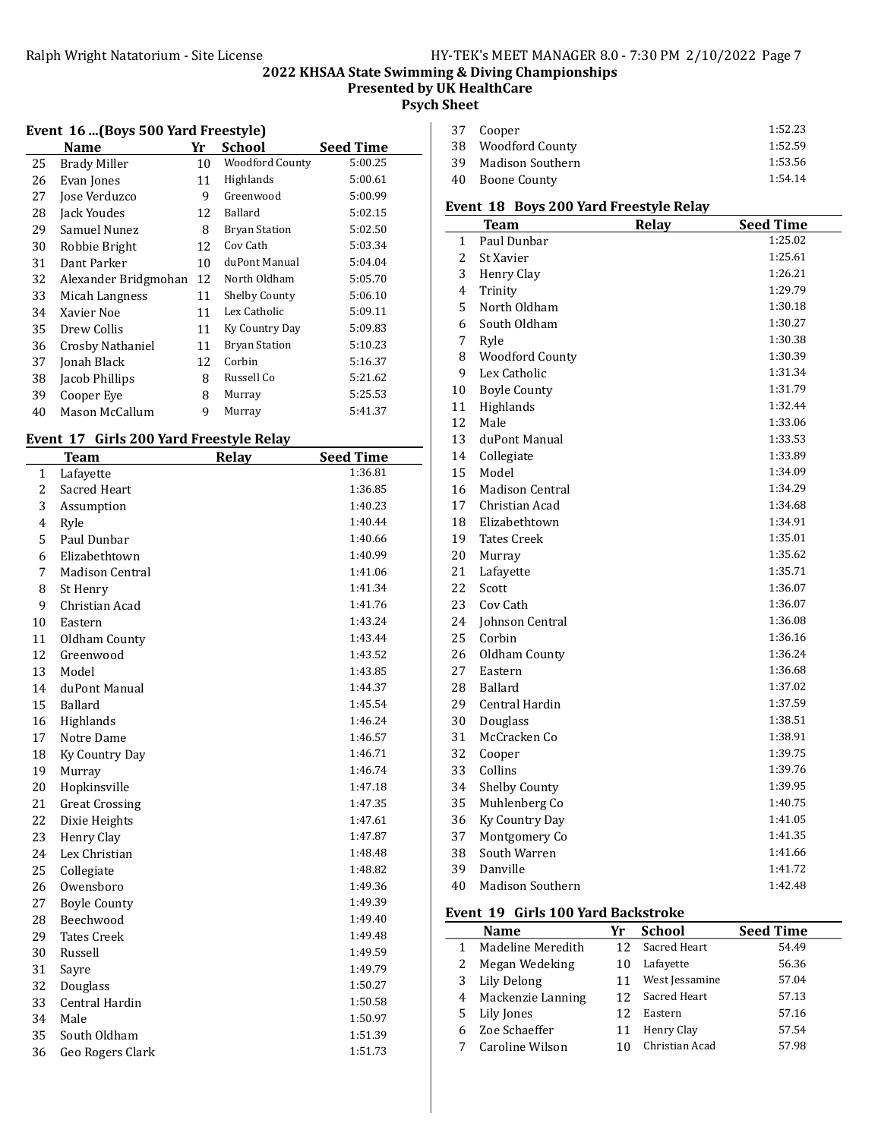Presented by UK HealthCare

Psych Sheet

|  |  |  |  | Event 16  (Boys 500 Yard Freestyle) |  |
|--|--|--|--|-------------------------------------|--|
|--|--|--|--|-------------------------------------|--|

|    | Name                 | Yr | School               | <b>Seed Time</b> |
|----|----------------------|----|----------------------|------------------|
| 25 | <b>Brady Miller</b>  | 10 | Woodford County      | 5:00.25          |
| 26 | Evan Jones           | 11 | Highlands            | 5:00.61          |
| 27 | Jose Verduzco        | 9  | Greenwood            | 5:00.99          |
| 28 | Jack Youdes          | 12 | Ballard              | 5:02.15          |
| 29 | Samuel Nunez         | 8  | <b>Bryan Station</b> | 5:02.50          |
| 30 | Robbie Bright        | 12 | Cov Cath             | 5:03.34          |
| 31 | Dant Parker          | 10 | duPont Manual        | 5:04.04          |
| 32 | Alexander Bridgmohan | 12 | North Oldham         | 5:05.70          |
| 33 | Micah Langness       | 11 | Shelby County        | 5:06.10          |
| 34 | Xavier Noe           | 11 | Lex Catholic         | 5:09.11          |
| 35 | Drew Collis          | 11 | Ky Country Day       | 5:09.83          |
| 36 | Crosby Nathaniel     | 11 | <b>Bryan Station</b> | 5:10.23          |
| 37 | Jonah Black          | 12 | Corbin               | 5:16.37          |
| 38 | Jacob Phillips       | 8  | Russell Co           | 5:21.62          |
| 39 | Cooper Eye           | 8  | Murray               | 5:25.53          |
| 40 | Mason McCallum       | 9  | Murray               | 5:41.37          |
|    |                      |    |                      |                  |

### Event 17 Girls 200 Yard Freestyle Relay

|    | <b>Team</b>            | Relay | <b>Seed Time</b> |
|----|------------------------|-------|------------------|
| 1  | Lafayette              |       | 1:36.81          |
| 2  | Sacred Heart           |       | 1:36.85          |
| 3  | Assumption             |       | 1:40.23          |
| 4  | Ryle                   |       | 1:40.44          |
| 5  | Paul Dunbar            |       | 1:40.66          |
| 6  | Elizabethtown          |       | 1:40.99          |
| 7  | <b>Madison Central</b> |       | 1:41.06          |
| 8  | St Henry               |       | 1:41.34          |
| 9  | Christian Acad         |       | 1:41.76          |
| 10 | Eastern                |       | 1:43.24          |
| 11 | Oldham County          |       | 1:43.44          |
| 12 | Greenwood              |       | 1:43.52          |
| 13 | Model                  |       | 1:43.85          |
| 14 | duPont Manual          |       | 1:44.37          |
| 15 | Ballard                |       | 1:45.54          |
| 16 | Highlands              |       | 1:46.24          |
| 17 | Notre Dame             |       | 1:46.57          |
| 18 | Ky Country Day         |       | 1:46.71          |
| 19 | Murray                 |       | 1:46.74          |
| 20 | Hopkinsville           |       | 1:47.18          |
| 21 | <b>Great Crossing</b>  |       | 1:47.35          |
| 22 | Dixie Heights          |       | 1:47.61          |
| 23 | Henry Clay             |       | 1:47.87          |
| 24 | Lex Christian          |       | 1:48.48          |
| 25 | Collegiate             |       | 1:48.82          |
| 26 | Owensboro              |       | 1:49.36          |
| 27 | <b>Boyle County</b>    |       | 1:49.39          |
| 28 | Beechwood              |       | 1:49.40          |
| 29 | <b>Tates Creek</b>     |       | 1:49.48          |
| 30 | Russell                |       | 1:49.59          |
| 31 | Sayre                  |       | 1:49.79          |
| 32 | Douglass               |       | 1:50.27          |
| 33 | Central Hardin         |       | 1:50.58          |
| 34 | Male                   |       | 1:50.97          |
| 35 | South Oldham           |       | 1:51.39          |
| 36 | Geo Rogers Clark       |       | 1:51.73          |

| 37 Cooper           | 1:52.23 |
|---------------------|---------|
| 38 Woodford County  | 1:52.59 |
| 39 Madison Southern | 1:53.56 |
| 40 Boone County     | 1:54.14 |
|                     |         |

### Event 18 Boys 200 Yard Freestyle Relay

|                | <b>Team</b>            | Relay | <b>Seed Time</b> |
|----------------|------------------------|-------|------------------|
| 1              | Paul Dunbar            |       | 1:25.02          |
| $\overline{c}$ | St Xavier              |       | 1:25.61          |
| 3              | Henry Clay             |       | 1:26.21          |
| 4              | Trinity                |       | 1:29.79          |
| 5              | North Oldham           |       | 1:30.18          |
| 6              | South Oldham           |       | 1:30.27          |
| 7              | Ryle                   |       | 1:30.38          |
| 8              | <b>Woodford County</b> |       | 1:30.39          |
| 9              | Lex Catholic           |       | 1:31.34          |
| 10             | <b>Boyle County</b>    |       | 1:31.79          |
| 11             | Highlands              |       | 1:32.44          |
| 12             | Male                   |       | 1:33.06          |
| 13             | duPont Manual          |       | 1:33.53          |
| 14             | Collegiate             |       | 1:33.89          |
| 15             | Model                  |       | 1:34.09          |
| 16             | <b>Madison Central</b> |       | 1:34.29          |
| 17             | Christian Acad         |       | 1:34.68          |
| 18             | Elizabethtown          |       | 1:34.91          |
| 19             | <b>Tates Creek</b>     |       | 1:35.01          |
| 20             | Murray                 |       | 1:35.62          |
| 21             | Lafayette              |       | 1:35.71          |
| 22             | Scott                  |       | 1:36.07          |
| 23             | Cov Cath               |       | 1:36.07          |
| 24             | <b>Iohnson Central</b> |       | 1:36.08          |
| 25             | Corbin                 |       | 1:36.16          |
| 26             | Oldham County          |       | 1:36.24          |
| 27             | Eastern                |       | 1:36.68          |
| 28             | <b>Ballard</b>         |       | 1:37.02          |
| 29             | Central Hardin         |       | 1:37.59          |
| 30             | Douglass               |       | 1:38.51          |
| 31             | McCracken Co           |       | 1:38.91          |
| 32             | Cooper                 |       | 1:39.75          |
| 33             | Collins                |       | 1:39.76          |
| 34             | Shelby County          |       | 1:39.95          |
| 35             | Muhlenberg Co          |       | 1:40.75          |
| 36             | Ky Country Day         |       | 1:41.05          |
| 37             | Montgomery Co          |       | 1:41.35          |
| 38             | South Warren           |       | 1:41.66          |
| 39             | Danville               |       | 1:41.72          |
| 40             | Madison Southern       |       | 1:42.48          |

#### Event 19 Girls 100 Yard Backstroke

|   | <b>Name</b>       | Yr              | <b>School</b>  | <b>Seed Time</b> |
|---|-------------------|-----------------|----------------|------------------|
| 1 | Madeline Meredith | 12              | Sacred Heart   | 54.49            |
| 2 | Megan Wedeking    | 10              | Lafayette      | 56.36            |
| 3 | Lily Delong       |                 | West Jessamine | 57.04            |
| 4 | Mackenzie Lanning | 12 <sup>1</sup> | Sacred Heart   | 57.13            |
| 5 | Lily Jones        | 12              | Eastern        | 57.16            |
| 6 | Zoe Schaeffer     | 11              | Henry Clay     | 57.54            |
|   | Caroline Wilson   | 10              | Christian Acad | 57.98            |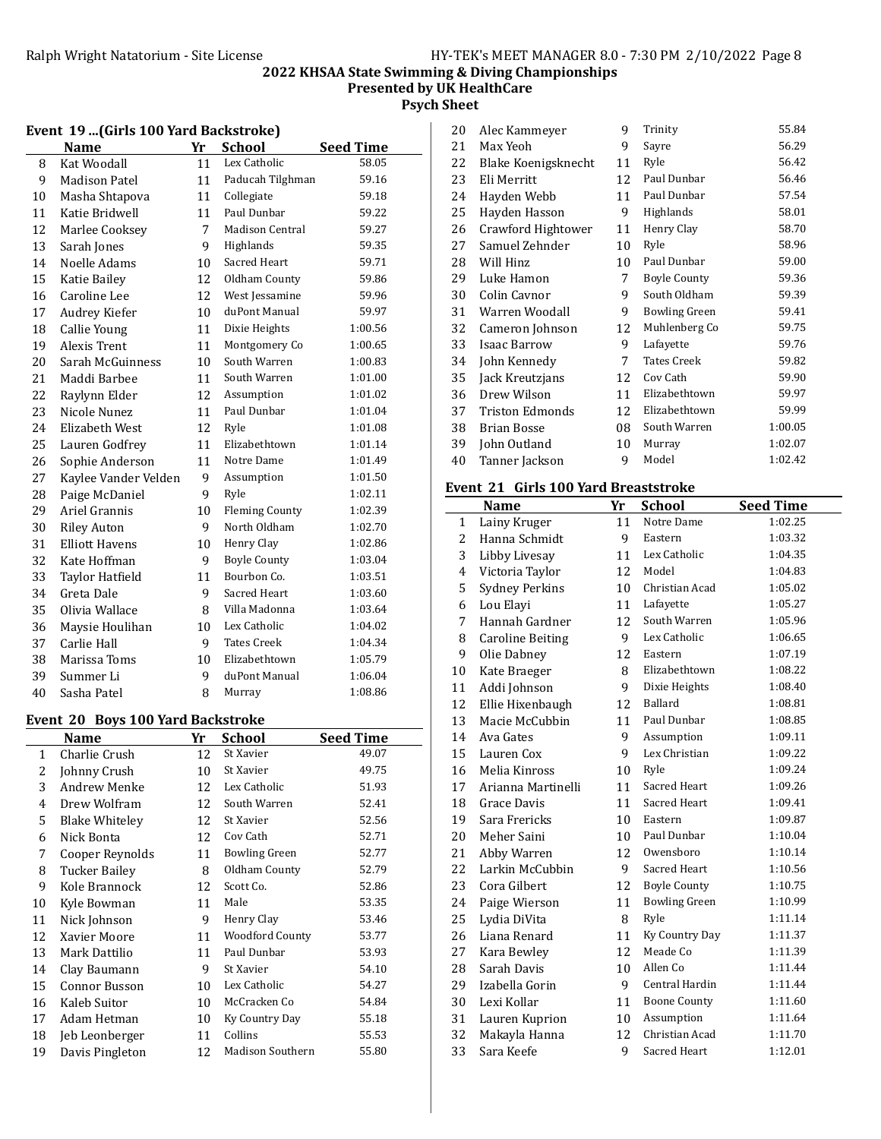## 2022 KHSAA State Swimming & Diving Championships Presented by UK HealthCare

Psych Sheet

|    | $2.001$ and $4.02$     |    |                        |                  |
|----|------------------------|----|------------------------|------------------|
|    | <b>Name</b>            | Yr | <b>School</b>          | <b>Seed Time</b> |
| 8  | Kat Woodall            | 11 | Lex Catholic           | 58.05            |
| 9  | <b>Madison Patel</b>   | 11 | Paducah Tilghman       | 59.16            |
| 10 | Masha Shtapova         | 11 | Collegiate             | 59.18            |
| 11 | Katie Bridwell         | 11 | Paul Dunbar            | 59.22            |
| 12 | Marlee Cooksey         | 7  | <b>Madison Central</b> | 59.27            |
| 13 | Sarah Jones            | 9  | Highlands              | 59.35            |
| 14 | Noelle Adams           | 10 | Sacred Heart           | 59.71            |
| 15 | Katie Bailey           | 12 | Oldham County          | 59.86            |
| 16 | Caroline Lee           | 12 | West Jessamine         | 59.96            |
| 17 | Audrey Kiefer          | 10 | duPont Manual          | 59.97            |
| 18 | Callie Young           | 11 | Dixie Heights          | 1:00.56          |
| 19 | Alexis Trent           | 11 | Montgomery Co          | 1:00.65          |
| 20 | Sarah McGuinness       | 10 | South Warren           | 1:00.83          |
| 21 | Maddi Barbee           | 11 | South Warren           | 1:01.00          |
| 22 | Raylynn Elder          | 12 | Assumption             | 1:01.02          |
| 23 | Nicole Nunez           | 11 | Paul Dunbar            | 1:01.04          |
| 24 | Elizabeth West         | 12 | Ryle                   | 1:01.08          |
| 25 | Lauren Godfrey         | 11 | Elizabethtown          | 1:01.14          |
| 26 | Sophie Anderson        | 11 | Notre Dame             | 1:01.49          |
| 27 | Kaylee Vander Velden   | 9  | Assumption             | 1:01.50          |
| 28 | Paige McDaniel         | 9  | Ryle                   | 1:02.11          |
| 29 | Ariel Grannis          | 10 | <b>Fleming County</b>  | 1:02.39          |
| 30 | <b>Riley Auton</b>     | 9  | North Oldham           | 1:02.70          |
| 31 | <b>Elliott Havens</b>  | 10 | Henry Clay             | 1:02.86          |
| 32 | Kate Hoffman           | 9  | <b>Boyle County</b>    | 1:03.04          |
| 33 | <b>Taylor Hatfield</b> | 11 | Bourbon Co.            | 1:03.51          |
| 34 | Greta Dale             | 9  | Sacred Heart           | 1:03.60          |
| 35 | Olivia Wallace         | 8  | Villa Madonna          | 1:03.64          |
| 36 | Maysie Houlihan        | 10 | Lex Catholic           | 1:04.02          |
| 37 | Carlie Hall            | 9  | <b>Tates Creek</b>     | 1:04.34          |
| 38 | Marissa Toms           | 10 | Elizabethtown          | 1:05.79          |
| 39 | Summer Li              | 9  | duPont Manual          | 1:06.04          |
| 40 | Sasha Patel            | 8  | Murray                 | 1:08.86          |

# Event 19 ...(Girls 100 Yard Backstroke)

#### Event 20 Boys 100 Yard Backstroke

|              | Name                  | Yr | School                  | Seed Time |
|--------------|-----------------------|----|-------------------------|-----------|
| $\mathbf{1}$ | Charlie Crush         | 12 | St Xavier               | 49.07     |
| 2            | Johnny Crush          | 10 | St Xavier               | 49.75     |
| 3            | Andrew Menke          | 12 | Lex Catholic            | 51.93     |
| 4            | Drew Wolfram          | 12 | South Warren            | 52.41     |
| 5            | <b>Blake Whiteley</b> | 12 | St Xavier               | 52.56     |
| 6            | Nick Bonta            | 12 | Cov Cath                | 52.71     |
| 7            | Cooper Reynolds       | 11 | <b>Bowling Green</b>    | 52.77     |
| 8            | Tucker Bailey         | 8  | Oldham County           | 52.79     |
| 9            | Kole Brannock         | 12 | Scott Co.               | 52.86     |
| 10           | Kyle Bowman           | 11 | Male                    | 53.35     |
| 11           | Nick Johnson          | 9  | Henry Clay              | 53.46     |
| 12           | Xavier Moore          | 11 | Woodford County         | 53.77     |
| 13           | Mark Dattilio         | 11 | Paul Dunbar             | 53.93     |
| 14           | Clay Baumann          | 9  | St Xavier               | 54.10     |
| 15           | Connor Busson         | 10 | Lex Catholic            | 54.27     |
| 16           | Kaleb Suitor          | 10 | McCracken Co            | 54.84     |
| 17           | Adam Hetman           | 10 | Ky Country Day          | 55.18     |
| 18           | Jeb Leonberger        | 11 | Collins                 | 55.53     |
| 19           | Davis Pingleton       | 12 | <b>Madison Southern</b> | 55.80     |
|              |                       |    |                         |           |

| 20 | Alec Kammeyer       | 9  | Trinity              | 55.84   |
|----|---------------------|----|----------------------|---------|
| 21 | Max Yeoh            | 9  | Sayre                | 56.29   |
| 22 | Blake Koenigsknecht | 11 | Ryle                 | 56.42   |
| 23 | Eli Merritt         | 12 | Paul Dunbar          | 56.46   |
| 24 | Hayden Webb         | 11 | Paul Dunbar          | 57.54   |
| 25 | Hayden Hasson       | 9  | Highlands            | 58.01   |
| 26 | Crawford Hightower  | 11 | Henry Clay           | 58.70   |
| 27 | Samuel Zehnder      | 10 | Ryle                 | 58.96   |
| 28 | Will Hinz           | 10 | Paul Dunbar          | 59.00   |
| 29 | Luke Hamon          | 7  | <b>Boyle County</b>  | 59.36   |
| 30 | Colin Cavnor        | 9  | South Oldham         | 59.39   |
| 31 | Warren Woodall      | 9  | <b>Bowling Green</b> | 59.41   |
| 32 | Cameron Johnson     | 12 | Muhlenberg Co        | 59.75   |
| 33 | <b>Isaac Barrow</b> | 9  | Lafayette            | 59.76   |
| 34 | John Kennedy        | 7  | <b>Tates Creek</b>   | 59.82   |
| 35 | Jack Kreutzjans     | 12 | Cov Cath             | 59.90   |
| 36 | Drew Wilson         | 11 | Elizabethtown        | 59.97   |
| 37 | Triston Edmonds     | 12 | Elizabethtown        | 59.99   |
| 38 | Brian Bosse         | 08 | South Warren         | 1:00.05 |
| 39 | John Outland        | 10 | Murray               | 1:02.07 |
| 40 | Tanner Jackson      | 9  | Model                | 1:02.42 |

### Event 21 Girls 100 Yard Breaststroke

|                | <b>Name</b>             | Yr | <b>School</b>        | <b>Seed Time</b> |
|----------------|-------------------------|----|----------------------|------------------|
| 1              | Lainy Kruger            | 11 | Notre Dame           | 1:02.25          |
| $\overline{c}$ | Hanna Schmidt           | 9  | Eastern              | 1:03.32          |
| 3              | Libby Livesay           | 11 | Lex Catholic         | 1:04.35          |
| $\overline{4}$ | Victoria Taylor         | 12 | Model                | 1:04.83          |
| 5              | <b>Sydney Perkins</b>   | 10 | Christian Acad       | 1:05.02          |
| 6              | Lou Elayi               | 11 | Lafayette            | 1:05.27          |
| 7              | Hannah Gardner          | 12 | South Warren         | 1:05.96          |
| 8              | <b>Caroline Beiting</b> | 9  | Lex Catholic         | 1:06.65          |
| 9              | Olie Dabney             | 12 | Eastern              | 1:07.19          |
| 10             | Kate Braeger            | 8  | Elizabethtown        | 1:08.22          |
| 11             | Addi Johnson            | 9  | Dixie Heights        | 1:08.40          |
| 12             | Ellie Hixenbaugh        | 12 | <b>Ballard</b>       | 1:08.81          |
| 13             | Macie McCubbin          | 11 | Paul Dunbar          | 1:08.85          |
| 14             | Ava Gates               | 9  | Assumption           | 1:09.11          |
| 15             | Lauren Cox              | 9  | Lex Christian        | 1:09.22          |
| 16             | Melia Kinross           | 10 | Ryle                 | 1:09.24          |
| 17             | Arianna Martinelli      | 11 | Sacred Heart         | 1:09.26          |
| 18             | Grace Davis             | 11 | Sacred Heart         | 1:09.41          |
| 19             | Sara Frericks           | 10 | Eastern              | 1:09.87          |
| 20             | Meher Saini             | 10 | Paul Dunbar          | 1:10.04          |
| 21             | Abby Warren             | 12 | Owensboro            | 1:10.14          |
| 22             | Larkin McCubbin         | 9  | Sacred Heart         | 1:10.56          |
| 23             | Cora Gilbert            | 12 | <b>Boyle County</b>  | 1:10.75          |
| 24             | Paige Wierson           | 11 | <b>Bowling Green</b> | 1:10.99          |
| 25             | Lydia DiVita            | 8  | Ryle                 | 1:11.14          |
| 26             | Liana Renard            | 11 | Ky Country Day       | 1:11.37          |
| 27             | Kara Bewley             | 12 | Meade Co             | 1:11.39          |
| 28             | Sarah Davis             | 10 | Allen Co             | 1:11.44          |
| 29             | Izabella Gorin          | 9  | Central Hardin       | 1:11.44          |
| 30             | Lexi Kollar             | 11 | <b>Boone County</b>  | 1:11.60          |
| 31             | Lauren Kuprion          | 10 | Assumption           | 1:11.64          |
| 32             | Makayla Hanna           | 12 | Christian Acad       | 1:11.70          |
| 33             | Sara Keefe              | 9  | Sacred Heart         | 1:12.01          |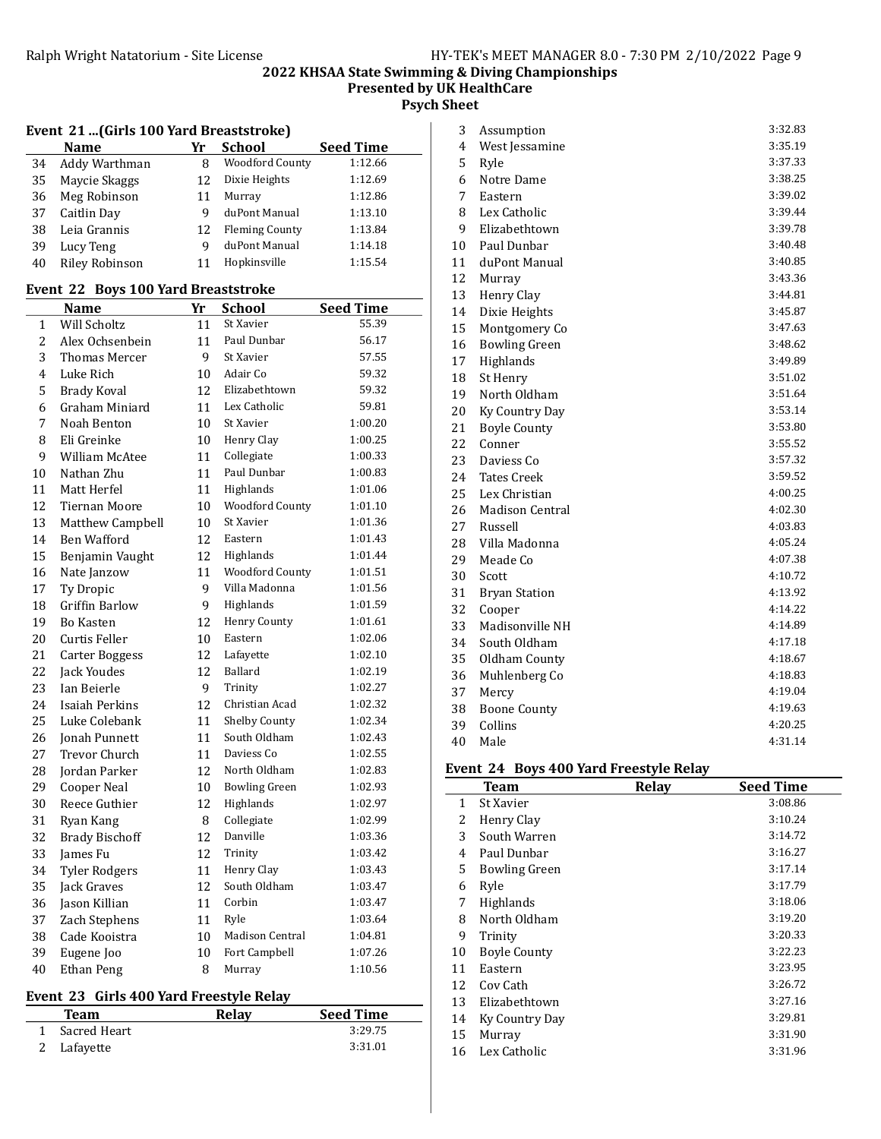Presented by UK HealthCare

Psych Sheet

### Event 21 ...(Girls 100 Yard Breaststroke)

|    | <b>Name</b>           | Yr | <b>School</b>          | <b>Seed Time</b> |
|----|-----------------------|----|------------------------|------------------|
| 34 | Addy Warthman         |    | <b>Woodford County</b> | 1:12.66          |
| 35 | Maycie Skaggs         | 12 | Dixie Heights          | 1:12.69          |
| 36 | Meg Robinson          |    | Murray                 | 1:12.86          |
| 37 | Caitlin Day           | q  | duPont Manual          | 1:13.10          |
| 38 | Leia Grannis          | 12 | <b>Fleming County</b>  | 1:13.84          |
| 39 | Lucy Teng             | q  | duPont Manual          | 1:14.18          |
| 40 | <b>Riley Robinson</b> |    | Hopkinsville           | 1:15.54          |

### Event 22 Boys 100 Yard Breaststroke

|    | <b>Name</b>           | Yr | <b>School</b>          | <b>Seed Time</b> |
|----|-----------------------|----|------------------------|------------------|
| 1  | Will Scholtz          | 11 | St Xavier              | 55.39            |
| 2  | Alex Ochsenbein       | 11 | Paul Dunbar            | 56.17            |
| 3  | Thomas Mercer         | 9  | St Xavier              | 57.55            |
| 4  | Luke Rich             | 10 | Adair Co               | 59.32            |
| 5  | <b>Brady Koval</b>    | 12 | Elizabethtown          | 59.32            |
| 6  | Graham Miniard        | 11 | Lex Catholic           | 59.81            |
| 7  | Noah Benton           | 10 | St Xavier              | 1:00.20          |
| 8  | Eli Greinke           | 10 | Henry Clay             | 1:00.25          |
| 9  | William McAtee        | 11 | Collegiate             | 1:00.33          |
| 10 | Nathan Zhu            | 11 | Paul Dunbar            | 1:00.83          |
| 11 | Matt Herfel           | 11 | Highlands              | 1:01.06          |
| 12 | <b>Tiernan Moore</b>  | 10 | <b>Woodford County</b> | 1:01.10          |
| 13 | Matthew Campbell      | 10 | St Xavier              | 1:01.36          |
| 14 | Ben Wafford           | 12 | Eastern                | 1:01.43          |
| 15 | Benjamin Vaught       | 12 | Highlands              | 1:01.44          |
| 16 | Nate Janzow           | 11 | <b>Woodford County</b> | 1:01.51          |
| 17 | Ty Dropic             | 9  | Villa Madonna          | 1:01.56          |
| 18 | <b>Griffin Barlow</b> | 9  | Highlands              | 1:01.59          |
| 19 | <b>Bo Kasten</b>      | 12 | Henry County           | 1:01.61          |
| 20 | Curtis Feller         | 10 | Eastern                | 1:02.06          |
| 21 | <b>Carter Boggess</b> | 12 | Lafayette              | 1:02.10          |
| 22 | Jack Youdes           | 12 | Ballard                | 1:02.19          |
| 23 | Ian Beierle           | 9  | Trinity                | 1:02.27          |
| 24 | Isaiah Perkins        | 12 | Christian Acad         | 1:02.32          |
| 25 | Luke Colebank         | 11 | Shelby County          | 1:02.34          |
| 26 | <b>Jonah Punnett</b>  | 11 | South Oldham           | 1:02.43          |
| 27 | Trevor Church         | 11 | Daviess Co             | 1:02.55          |
| 28 | Jordan Parker         | 12 | North Oldham           | 1:02.83          |
| 29 | <b>Cooper Neal</b>    | 10 | <b>Bowling Green</b>   | 1:02.93          |
| 30 | Reece Guthier         | 12 | Highlands              | 1:02.97          |
| 31 | Ryan Kang             | 8  | Collegiate             | 1:02.99          |
| 32 | <b>Brady Bischoff</b> | 12 | Danville               | 1:03.36          |
| 33 | James Fu              | 12 | Trinity                | 1:03.42          |
| 34 | <b>Tyler Rodgers</b>  | 11 | Henry Clay             | 1:03.43          |
| 35 | Jack Graves           | 12 | South Oldham           | 1:03.47          |
| 36 | Jason Killian         | 11 | Corbin                 | 1:03.47          |
| 37 | Zach Stephens         | 11 | Ryle                   | 1:03.64          |
| 38 | Cade Kooistra         | 10 | <b>Madison Central</b> | 1:04.81          |
| 39 | Eugene Joo            | 10 | Fort Campbell          | 1:07.26          |
| 40 | <b>Ethan Peng</b>     | 8  | Murray                 | 1:10.56          |

## Event 23 Girls 400 Yard Freestyle Relay

| Team         | Relay | <b>Seed Time</b> |
|--------------|-------|------------------|
| Sacred Heart |       | 3:29.75          |
| 2 Lafayette  |       | 3:31.01          |

| 3  | Assumption             | 3:32.83 |
|----|------------------------|---------|
| 4  | West Jessamine         | 3:35.19 |
| 5  | Ryle                   | 3:37.33 |
| 6  | Notre Dame             | 3:38.25 |
| 7  | Eastern                | 3:39.02 |
| 8  | Lex Catholic           | 3:39.44 |
| 9  | Elizabethtown          | 3:39.78 |
| 10 | Paul Dunbar            | 3:40.48 |
| 11 | duPont Manual          | 3:40.85 |
| 12 | Murray                 | 3:43.36 |
| 13 | Henry Clay             | 3:44.81 |
| 14 | Dixie Heights          | 3:45.87 |
| 15 | Montgomery Co          | 3:47.63 |
| 16 | <b>Bowling Green</b>   | 3:48.62 |
| 17 | Highlands              | 3:49.89 |
| 18 | St Henry               | 3:51.02 |
| 19 | North Oldham           | 3:51.64 |
| 20 | Ky Country Day         | 3:53.14 |
| 21 | <b>Boyle County</b>    | 3:53.80 |
| 22 | Conner                 | 3:55.52 |
| 23 | Daviess Co             | 3:57.32 |
| 24 | <b>Tates Creek</b>     | 3:59.52 |
| 25 | Lex Christian          | 4:00.25 |
| 26 | <b>Madison Central</b> | 4:02.30 |
| 27 | Russell                | 4:03.83 |
| 28 | Villa Madonna          | 4:05.24 |
| 29 | Meade Co               | 4:07.38 |
| 30 | Scott                  | 4:10.72 |
| 31 | <b>Bryan Station</b>   | 4:13.92 |
| 32 | Cooper                 | 4:14.22 |
| 33 | Madisonville NH        | 4:14.89 |
| 34 | South Oldham           | 4:17.18 |
| 35 | Oldham County          | 4:18.67 |
| 36 | Muhlenberg Co          | 4:18.83 |
| 37 | Mercy                  | 4:19.04 |
| 38 | <b>Boone County</b>    | 4:19.63 |
| 39 | Collins                | 4:20.25 |
| 40 | Male                   | 4:31.14 |

### Event 24 Boys 400 Yard Freestyle Relay

|    | <b>Team</b>          | Relay | <b>Seed Time</b> |
|----|----------------------|-------|------------------|
| 1  | St Xavier            |       | 3:08.86          |
| 2  | Henry Clay           |       | 3:10.24          |
| 3  | South Warren         |       | 3:14.72          |
| 4  | Paul Dunbar          |       | 3:16.27          |
| 5  | <b>Bowling Green</b> |       | 3:17.14          |
| 6  | Ryle                 |       | 3:17.79          |
| 7  | <b>Highlands</b>     |       | 3:18.06          |
| 8  | North Oldham         |       | 3:19.20          |
| 9  | Trinity              |       | 3:20.33          |
| 10 | <b>Boyle County</b>  |       | 3:22.23          |
| 11 | Eastern              |       | 3:23.95          |
| 12 | Cov Cath             |       | 3:26.72          |
| 13 | Elizabethtown        |       | 3:27.16          |
| 14 | Ky Country Day       |       | 3:29.81          |
| 15 | Murray               |       | 3:31.90          |
| 16 | Lex Catholic         |       | 3:31.96          |